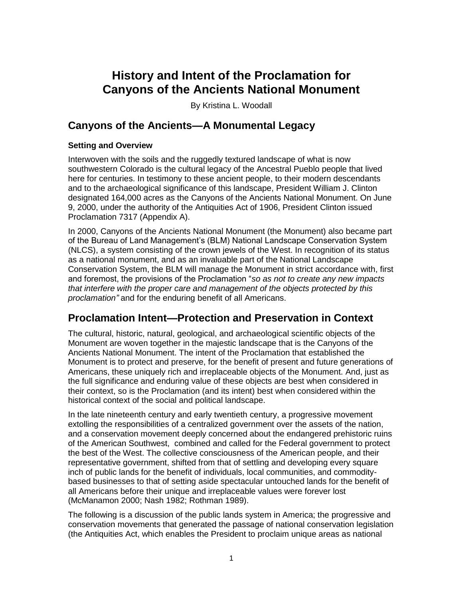# **History and Intent of the Proclamation for Canyons of the Ancients National Monument**

By Kristina L. Woodall

# **Canyons of the Ancients—A Monumental Legacy**

### **Setting and Overview**

Interwoven with the soils and the ruggedly textured landscape of what is now southwestern Colorado is the cultural legacy of the Ancestral Pueblo people that lived here for centuries. In testimony to these ancient people, to their modern descendants and to the archaeological significance of this landscape, President William J. Clinton designated 164,000 acres as the Canyons of the Ancients National Monument. On June 9, 2000, under the authority of the Antiquities Act of 1906, President Clinton issued Proclamation 7317 (Appendix A).

In 2000, Canyons of the Ancients National Monument (the Monument) also became part of the Bureau of Land Management's (BLM) National Landscape Conservation System (NLCS), a system consisting of the crown jewels of the West. In recognition of its status as a national monument, and as an invaluable part of the National Landscape Conservation System, the BLM will manage the Monument in strict accordance with, first and foremost, the provisions of the Proclamation "so as not to create any new impacts *that interfere with the proper care and management of the objects protected by this proclamation"* and for the enduring benefit of all Americans.

# **Proclamation Intent—Protection and Preservation in Context**

The cultural, historic, natural, geological, and archaeological scientific objects of the Monument are woven together in the majestic landscape that is the Canyons of the Ancients National Monument. The intent of the Proclamation that established the Monument is to protect and preserve, for the benefit of present and future generations of Americans, these uniquely rich and irreplaceable objects of the Monument. And, just as the full significance and enduring value of these objects are best when considered in their context, so is the Proclamation (and its intent) best when considered within the historical context of the social and political landscape.

In the late nineteenth century and early twentieth century, a progressive movement extolling the responsibilities of a centralized government over the assets of the nation, and a conservation movement deeply concerned about the endangered prehistoric ruins of the American Southwest, combined and called for the Federal government to protect the best of the West. The collective consciousness of the American people, and their representative government, shifted from that of settling and developing every square inch of public lands for the benefit of individuals, local communities, and commoditybased businesses to that of setting aside spectacular untouched lands for the benefit of all Americans before their unique and irreplaceable values were forever lost (McManamon 2000; Nash 1982; Rothman 1989).

The following is a discussion of the public lands system in America; the progressive and conservation movements that generated the passage of national conservation legislation (the Antiquities Act, which enables the President to proclaim unique areas as national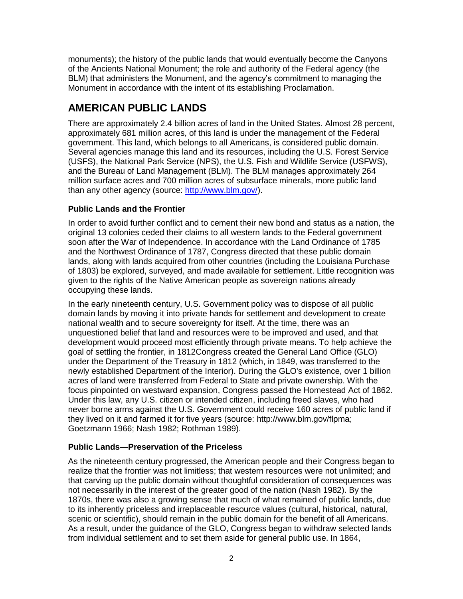monuments); the history of the public lands that would eventually become the Canyons of the Ancients National Monument; the role and authority of the Federal agency (the BLM) that administers the Monument, and the agency's commitment to managing the Monument in accordance with the intent of its establishing Proclamation.

# **AMERICAN PUBLIC LANDS**

There are approximately 2.4 billion acres of land in the United States. Almost 28 percent, approximately 681 million acres, of this land is under the management of the Federal government. This land, which belongs to all Americans, is considered public domain. Several agencies manage this land and its resources, including the U.S. Forest Service (USFS), the National Park Service (NPS), the U.S. Fish and Wildlife Service (USFWS), and the Bureau of Land Management (BLM). The BLM manages approximately 264 million surface acres and 700 million acres of subsurface minerals, more public land than any other agency (source: [http://www.blm.gov/\)](http://www.blm.gov/).

### **Public Lands and the Frontier**

In order to avoid further conflict and to cement their new bond and status as a nation, the original 13 colonies ceded their claims to all western lands to the Federal government soon after the War of Independence. In accordance with the Land Ordinance of 1785 and the Northwest Ordinance of 1787, Congress directed that these public domain lands, along with lands acquired from other countries (including the Louisiana Purchase of 1803) be explored, surveyed, and made available for settlement. Little recognition was given to the rights of the Native American people as sovereign nations already occupying these lands.

In the early nineteenth century, U.S. Government policy was to dispose of all public domain lands by moving it into private hands for settlement and development to create national wealth and to secure sovereignty for itself. At the time, there was an unquestioned belief that land and resources were to be improved and used, and that development would proceed most efficiently through private means. To help achieve the goal of settling the frontier, in 1812Congress created the General Land Office (GLO) under the Department of the Treasury in 1812 (which, in 1849, was transferred to the newly established Department of the Interior). During the GLO's existence, over 1 billion acres of land were transferred from Federal to State and private ownership. With the focus pinpointed on westward expansion, Congress passed the Homestead Act of 1862. Under this law, any U.S. citizen or intended citizen, including freed slaves, who had never borne arms against the U.S. Government could receive 160 acres of public land if they lived on it and farmed it for five years (source: http://www.blm.gov/flpma; Goetzmann 1966; Nash 1982; Rothman 1989).

# **Public Lands—Preservation of the Priceless**

As the nineteenth century progressed, the American people and their Congress began to realize that the frontier was not limitless; that western resources were not unlimited; and that carving up the public domain without thoughtful consideration of consequences was not necessarily in the interest of the greater good of the nation (Nash 1982). By the 1870s, there was also a growing sense that much of what remained of public lands, due to its inherently priceless and irreplaceable resource values (cultural, historical, natural, scenic or scientific), should remain in the public domain for the benefit of all Americans. As a result, under the guidance of the GLO, Congress began to withdraw selected lands from individual settlement and to set them aside for general public use. In 1864,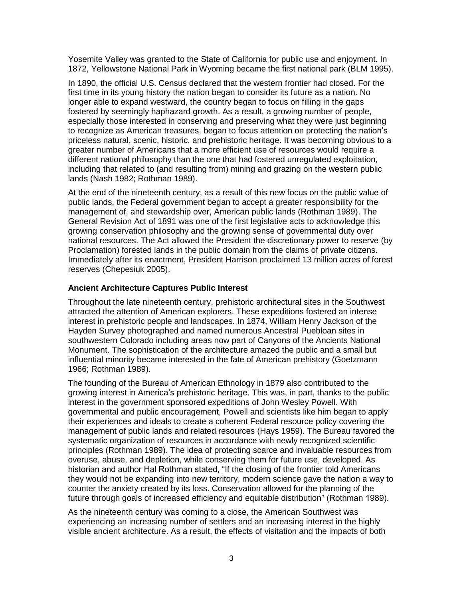Yosemite Valley was granted to the State of California for public use and enjoyment. In 1872, Yellowstone National Park in Wyoming became the first national park (BLM 1995).

In 1890, the official U.S. Census declared that the western frontier had closed. For the first time in its young history the nation began to consider its future as a nation. No longer able to expand westward, the country began to focus on filling in the gaps fostered by seemingly haphazard growth. As a result, a growing number of people, especially those interested in conserving and preserving what they were just beginning to recognize as American treasures, began to focus attention on protecting the nation's priceless natural, scenic, historic, and prehistoric heritage. It was becoming obvious to a greater number of Americans that a more efficient use of resources would require a different national philosophy than the one that had fostered unregulated exploitation, including that related to (and resulting from) mining and grazing on the western public lands (Nash 1982; Rothman 1989).

At the end of the nineteenth century, as a result of this new focus on the public value of public lands, the Federal government began to accept a greater responsibility for the management of, and stewardship over, American public lands (Rothman 1989). The General Revision Act of 1891 was one of the first legislative acts to acknowledge this growing conservation philosophy and the growing sense of governmental duty over national resources. The Act allowed the President the discretionary power to reserve (by Proclamation) forested lands in the public domain from the claims of private citizens. Immediately after its enactment, President Harrison proclaimed 13 million acres of forest reserves (Chepesiuk 2005).

### **Ancient Architecture Captures Public Interest**

Throughout the late nineteenth century, prehistoric architectural sites in the Southwest attracted the attention of American explorers. These expeditions fostered an intense interest in prehistoric people and landscapes. In 1874, William Henry Jackson of the Hayden Survey photographed and named numerous Ancestral Puebloan sites in southwestern Colorado including areas now part of Canyons of the Ancients National Monument. The sophistication of the architecture amazed the public and a small but influential minority became interested in the fate of American prehistory (Goetzmann 1966; Rothman 1989).

The founding of the Bureau of American Ethnology in 1879 also contributed to the growing interest in America's prehistoric heritage. This was, in part, thanks to the public interest in the government sponsored expeditions of John Wesley Powell. With governmental and public encouragement, Powell and scientists like him began to apply their experiences and ideals to create a coherent Federal resource policy covering the management of public lands and related resources (Hays 1959). The Bureau favored the systematic organization of resources in accordance with newly recognized scientific principles (Rothman 1989). The idea of protecting scarce and invaluable resources from overuse, abuse, and depletion, while conserving them for future use, developed. As historian and author Hal Rothman stated, "If the closing of the frontier told Americans they would not be expanding into new territory, modern science gave the nation a way to counter the anxiety created by its loss. Conservation allowed for the planning of the future through goals of increased efficiency and equitable distribution" (Rothman 1989).

As the nineteenth century was coming to a close, the American Southwest was experiencing an increasing number of settlers and an increasing interest in the highly visible ancient architecture. As a result, the effects of visitation and the impacts of both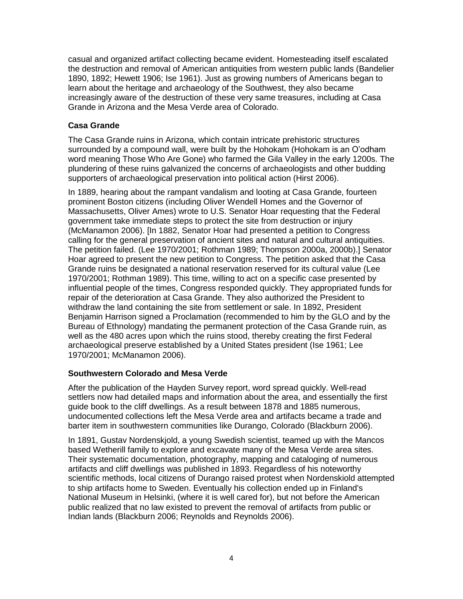casual and organized artifact collecting became evident. Homesteading itself escalated the destruction and removal of American antiquities from western public lands (Bandelier 1890, 1892; Hewett 1906; Ise 1961). Just as growing numbers of Americans began to learn about the heritage and archaeology of the Southwest, they also became increasingly aware of the destruction of these very same treasures, including at Casa Grande in Arizona and the Mesa Verde area of Colorado.

### **Casa Grande**

The Casa Grande ruins in Arizona, which contain intricate prehistoric structures surrounded by a compound wall, were built by the Hohokam (Hohokam is an O'odham word meaning Those Who Are Gone) who farmed the Gila Valley in the early 1200s. The plundering of these ruins galvanized the concerns of archaeologists and other budding supporters of archaeological preservation into political action (Hirst 2006).

In 1889, hearing about the rampant vandalism and looting at Casa Grande, fourteen prominent Boston citizens (including Oliver Wendell Homes and the Governor of Massachusetts, Oliver Ames) wrote to U.S. Senator Hoar requesting that the Federal government take immediate steps to protect the site from destruction or injury (McManamon 2006). [In 1882, Senator Hoar had presented a petition to Congress calling for the general preservation of ancient sites and natural and cultural antiquities. The petition failed. (Lee 1970/2001; Rothman 1989; Thompson 2000a, 2000b).] Senator Hoar agreed to present the new petition to Congress. The petition asked that the Casa Grande ruins be designated a national reservation reserved for its cultural value (Lee 1970/2001; Rothman 1989). This time, willing to act on a specific case presented by influential people of the times, Congress responded quickly. They appropriated funds for repair of the deterioration at Casa Grande. They also authorized the President to withdraw the land containing the site from settlement or sale. In 1892, President Benjamin Harrison signed a Proclamation (recommended to him by the GLO and by the Bureau of Ethnology) mandating the permanent protection of the Casa Grande ruin, as well as the 480 acres upon which the ruins stood, thereby creating the first Federal archaeological preserve established by a United States president (Ise 1961; Lee 1970/2001; McManamon 2006).

### **Southwestern Colorado and Mesa Verde**

After the publication of the Hayden Survey report, word spread quickly. Well-read settlers now had detailed maps and information about the area, and essentially the first guide book to the cliff dwellings. As a result between 1878 and 1885 numerous, undocumented collections left the Mesa Verde area and artifacts became a trade and barter item in southwestern communities like Durango, Colorado (Blackburn 2006).

In 1891, Gustav Nordenskjold, a young Swedish scientist, teamed up with the Mancos based Wetherill family to explore and excavate many of the Mesa Verde area sites. Their systematic documentation, photography, mapping and cataloging of numerous artifacts and cliff dwellings was published in 1893. Regardless of his noteworthy scientific methods, local citizens of Durango raised protest when Nordenskiold attempted to ship artifacts home to Sweden. Eventually his collection ended up in Finland's National Museum in Helsinki, (where it is well cared for), but not before the American public realized that no law existed to prevent the removal of artifacts from public or Indian lands (Blackburn 2006; Reynolds and Reynolds 2006).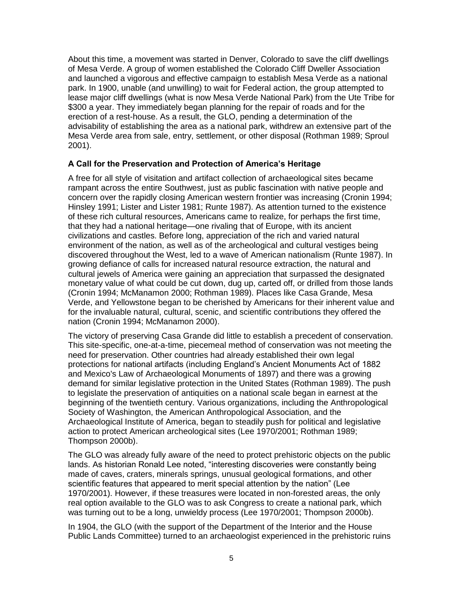About this time, a movement was started in Denver, Colorado to save the cliff dwellings of Mesa Verde. A group of women established the Colorado Cliff Dweller Association and launched a vigorous and effective campaign to establish Mesa Verde as a national park. In 1900, unable (and unwilling) to wait for Federal action, the group attempted to lease major cliff dwellings (what is now Mesa Verde National Park) from the Ute Tribe for \$300 a year. They immediately began planning for the repair of roads and for the erection of a rest-house. As a result, the GLO, pending a determination of the advisability of establishing the area as a national park, withdrew an extensive part of the Mesa Verde area from sale, entry, settlement, or other disposal (Rothman 1989; Sproul 2001).

### **A Call for the Preservation and Protection of America's Heritage**

A free for all style of visitation and artifact collection of archaeological sites became rampant across the entire Southwest, just as public fascination with native people and concern over the rapidly closing American western frontier was increasing (Cronin 1994; Hinsley 1991; Lister and Lister 1981; Runte 1987). As attention turned to the existence of these rich cultural resources, Americans came to realize, for perhaps the first time, that they had a national heritage—one rivaling that of Europe, with its ancient civilizations and castles. Before long, appreciation of the rich and varied natural environment of the nation, as well as of the archeological and cultural vestiges being discovered throughout the West, led to a wave of American nationalism (Runte 1987). In growing defiance of calls for increased natural resource extraction, the natural and cultural jewels of America were gaining an appreciation that surpassed the designated monetary value of what could be cut down, dug up, carted off, or drilled from those lands (Cronin 1994; McManamon 2000; Rothman 1989). Places like Casa Grande, Mesa Verde, and Yellowstone began to be cherished by Americans for their inherent value and for the invaluable natural, cultural, scenic, and scientific contributions they offered the nation (Cronin 1994; McManamon 2000).

The victory of preserving Casa Grande did little to establish a precedent of conservation. This site-specific, one-at-a-time, piecemeal method of conservation was not meeting the need for preservation. Other countries had already established their own legal protections for national artifacts (including England's Ancient Monuments Act of 1882 and Mexico's Law of Archaeological Monuments of 1897) and there was a growing demand for similar legislative protection in the United States (Rothman 1989). The push to legislate the preservation of antiquities on a national scale began in earnest at the beginning of the twentieth century. Various organizations, including the Anthropological Society of Washington, the American Anthropological Association, and the Archaeological Institute of America, began to steadily push for political and legislative action to protect American archeological sites (Lee 1970/2001; Rothman 1989; Thompson 2000b).

The GLO was already fully aware of the need to protect prehistoric objects on the public lands. As historian Ronald Lee noted, "interesting discoveries were constantly being made of caves, craters, minerals springs, unusual geological formations, and other scientific features that appeared to merit special attention by the nation" (Lee 1970/2001). However, if these treasures were located in non-forested areas, the only real option available to the GLO was to ask Congress to create a national park, which was turning out to be a long, unwieldy process (Lee 1970/2001; Thompson 2000b).

In 1904, the GLO (with the support of the Department of the Interior and the House Public Lands Committee) turned to an archaeologist experienced in the prehistoric ruins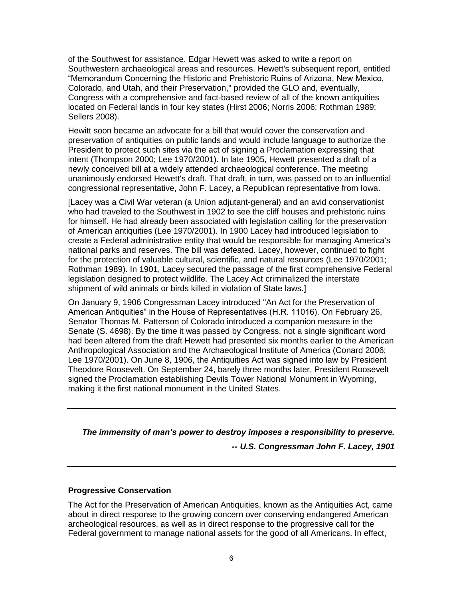of the Southwest for assistance. Edgar Hewett was asked to write a report on Southwestern archaeological areas and resources. Hewett's subsequent report, entitled ―Memorandum Concerning the Historic and Prehistoric Ruins of Arizona, New Mexico, Colorado, and Utah, and their Preservation," provided the GLO and, eventually, Congress with a comprehensive and fact-based review of all of the known antiquities located on Federal lands in four key states (Hirst 2006; Norris 2006; Rothman 1989; Sellers 2008).

Hewitt soon became an advocate for a bill that would cover the conservation and preservation of antiquities on public lands and would include language to authorize the President to protect such sites via the act of signing a Proclamation expressing that intent (Thompson 2000; Lee 1970/2001). In late 1905, Hewett presented a draft of a newly conceived bill at a widely attended archaeological conference. The meeting unanimously endorsed Hewett's draft. That draft, in turn, was passed on to an influential congressional representative, John F. Lacey, a Republican representative from Iowa.

[Lacey was a Civil War veteran (a Union adjutant-general) and an avid conservationist who had traveled to the Southwest in 1902 to see the cliff houses and prehistoric ruins for himself. He had already been associated with legislation calling for the preservation of American antiquities (Lee 1970/2001). In 1900 Lacey had introduced legislation to create a Federal administrative entity that would be responsible for managing America's national parks and reserves. The bill was defeated. Lacey, however, continued to fight for the protection of valuable cultural, scientific, and natural resources (Lee 1970/2001; Rothman 1989). In 1901, Lacey secured the passage of the first comprehensive Federal legislation designed to protect wildlife. The Lacey Act criminalized the interstate shipment of wild animals or birds killed in violation of State laws.]

On January 9, 1906 Congressman Lacey introduced "An Act for the Preservation of American Antiquities" in the House of Representatives (H.R. 11016). On February 26, Senator Thomas M. Patterson of Colorado introduced a companion measure in the Senate (S. 4698). By the time it was passed by Congress, not a single significant word had been altered from the draft Hewett had presented six months earlier to the American Anthropological Association and the Archaeological Institute of America (Conard 2006; Lee 1970/2001). On June 8, 1906, the Antiquities Act was signed into law by President Theodore Roosevelt. On September 24, barely three months later, President Roosevelt signed the Proclamation establishing Devils Tower National Monument in Wyoming, making it the first national monument in the United States.

# *The immensity of man's power to destroy imposes a responsibility to preserve.*

*-- U.S. Congressman John F. Lacey, 1901*

### **Progressive Conservation**

The Act for the Preservation of American Antiquities, known as the Antiquities Act, came about in direct response to the growing concern over conserving endangered American archeological resources, as well as in direct response to the progressive call for the Federal government to manage national assets for the good of all Americans. In effect,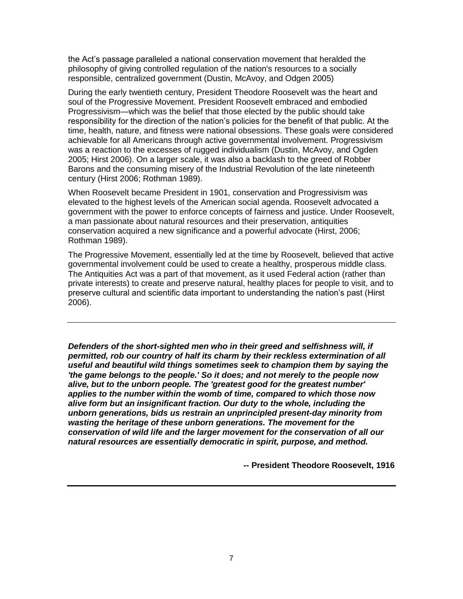the Act's passage paralleled a national conservation movement that heralded the philosophy of giving controlled regulation of the nation's resources to a socially responsible, centralized government (Dustin, McAvoy, and Odgen 2005)

During the early twentieth century, President Theodore Roosevelt was the heart and soul of the Progressive Movement. President Roosevelt embraced and embodied Progressivism—which was the belief that those elected by the public should take responsibility for the direction of the nation's policies for the benefit of that public. At the time, health, nature, and fitness were national obsessions. These goals were considered achievable for all Americans through active governmental involvement. Progressivism was a reaction to the excesses of rugged individualism (Dustin, McAvoy, and Ogden 2005; Hirst 2006). On a larger scale, it was also a backlash to the greed of Robber Barons and the consuming misery of the Industrial Revolution of the late nineteenth century (Hirst 2006; Rothman 1989).

When Roosevelt became President in 1901, conservation and Progressivism was elevated to the highest levels of the American social agenda. Roosevelt advocated a government with the power to enforce concepts of fairness and justice. Under Roosevelt, a man passionate about natural resources and their preservation, antiquities conservation acquired a new significance and a powerful advocate (Hirst, 2006; Rothman 1989).

The Progressive Movement, essentially led at the time by Roosevelt, believed that active governmental involvement could be used to create a healthy, prosperous middle class. The Antiquities Act was a part of that movement, as it used Federal action (rather than private interests) to create and preserve natural, healthy places for people to visit, and to preserve cultural and scientific data important to understanding the nation's past (Hirst 2006).

*Defenders of the short-sighted men who in their greed and selfishness will, if permitted, rob our country of half its charm by their reckless extermination of all useful and beautiful wild things sometimes seek to champion them by saying the 'the game belongs to the people.' So it does; and not merely to the people now alive, but to the unborn people. The 'greatest good for the greatest number' applies to the number within the womb of time, compared to which those now alive form but an insignificant fraction. Our duty to the whole, including the unborn generations, bids us restrain an unprincipled present-day minority from wasting the heritage of these unborn generations. The movement for the conservation of wild life and the larger movement for the conservation of all our natural resources are essentially democratic in spirit, purpose, and method.*

**-- President Theodore Roosevelt, 1916**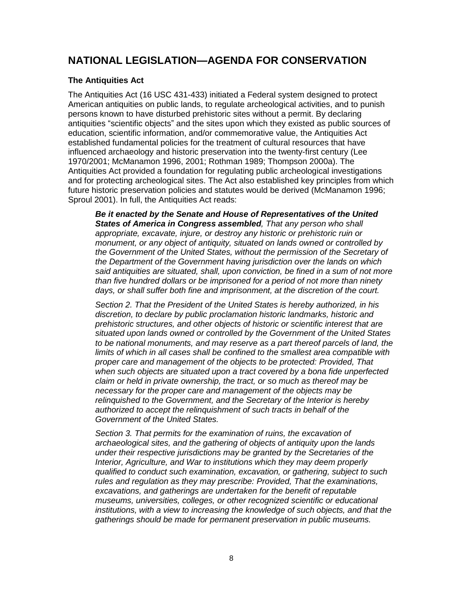# **NATIONAL LEGISLATION—AGENDA FOR CONSERVATION**

### **The Antiquities Act**

The Antiquities Act (16 USC 431-433) initiated a Federal system designed to protect American antiquities on public lands, to regulate archeological activities, and to punish persons known to have disturbed prehistoric sites without a permit. By declaring antiquities "scientific objects" and the sites upon which they existed as public sources of education, scientific information, and/or commemorative value, the Antiquities Act established fundamental policies for the treatment of cultural resources that have influenced archaeology and historic preservation into the twenty-first century (Lee 1970/2001; McManamon 1996, 2001; Rothman 1989; Thompson 2000a). The Antiquities Act provided a foundation for regulating public archeological investigations and for protecting archeological sites. The Act also established key principles from which future historic preservation policies and statutes would be derived (McManamon 1996; Sproul 2001). In full, the Antiquities Act reads:

*Be it enacted by the Senate and House of Representatives of the United States of America in Congress assembled, That any person who shall appropriate, excavate, injure, or destroy any historic or prehistoric ruin or monument, or any object of antiquity, situated on lands owned or controlled by the Government of the United States, without the permission of the Secretary of the Department of the Government having jurisdiction over the lands on which said antiquities are situated, shall, upon conviction, be fined in a sum of not more than five hundred dollars or be imprisoned for a period of not more than ninety days, or shall suffer both fine and imprisonment, at the discretion of the court.*

*Section 2. That the President of the United States is hereby authorized, in his discretion, to declare by public proclamation historic landmarks, historic and prehistoric structures, and other objects of historic or scientific interest that are situated upon lands owned or controlled by the Government of the United States to be national monuments, and may reserve as a part thereof parcels of land, the limits of which in all cases shall be confined to the smallest area compatible with proper care and management of the objects to be protected: Provided, That when such objects are situated upon a tract covered by a bona fide unperfected claim or held in private ownership, the tract, or so much as thereof may be necessary for the proper care and management of the objects may be relinquished to the Government, and the Secretary of the Interior is hereby authorized to accept the relinquishment of such tracts in behalf of the Government of the United States.*

*Section 3. That permits for the examination of ruins, the excavation of archaeological sites, and the gathering of objects of antiquity upon the lands under their respective jurisdictions may be granted by the Secretaries of the Interior, Agriculture, and War to institutions which they may deem properly qualified to conduct such examination, excavation, or gathering, subject to such rules and regulation as they may prescribe: Provided, That the examinations, excavations, and gatherings are undertaken for the benefit of reputable museums, universities, colleges, or other recognized scientific or educational institutions, with a view to increasing the knowledge of such objects, and that the gatherings should be made for permanent preservation in public museums.*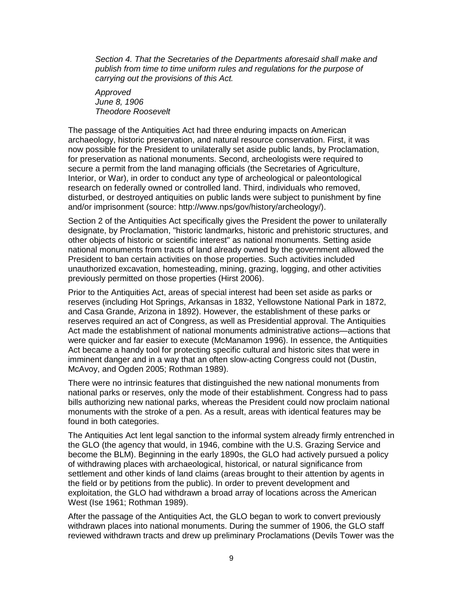*Section 4. That the Secretaries of the Departments aforesaid shall make and publish from time to time uniform rules and regulations for the purpose of carrying out the provisions of this Act.*

*Approved June 8, 1906 Theodore Roosevelt*

The passage of the Antiquities Act had three enduring impacts on American archaeology, historic preservation, and natural resource conservation. First, it was now possible for the President to unilaterally set aside public lands, by Proclamation, for preservation as national monuments. Second, archeologists were required to secure a permit from the land managing officials (the Secretaries of Agriculture, Interior, or War), in order to conduct any type of archeological or paleontological research on federally owned or controlled land. Third, individuals who removed, disturbed, or destroyed antiquities on public lands were subject to punishment by fine and/or imprisonment (source: http://www.nps/gov/history/archeology/).

Section 2 of the Antiquities Act specifically gives the President the power to unilaterally designate, by Proclamation, "historic landmarks, historic and prehistoric structures, and other objects of historic or scientific interest" as national monuments. Setting aside national monuments from tracts of land already owned by the government allowed the President to ban certain activities on those properties. Such activities included unauthorized excavation, homesteading, mining, grazing, logging, and other activities previously permitted on those properties (Hirst 2006).

Prior to the Antiquities Act, areas of special interest had been set aside as parks or reserves (including Hot Springs, Arkansas in 1832, Yellowstone National Park in 1872, and Casa Grande, Arizona in 1892). However, the establishment of these parks or reserves required an act of Congress, as well as Presidential approval. The Antiquities Act made the establishment of national monuments administrative actions—actions that were quicker and far easier to execute (McManamon 1996). In essence, the Antiquities Act became a handy tool for protecting specific cultural and historic sites that were in imminent danger and in a way that an often slow-acting Congress could not (Dustin, McAvoy, and Ogden 2005; Rothman 1989).

There were no intrinsic features that distinguished the new national monuments from national parks or reserves, only the mode of their establishment. Congress had to pass bills authorizing new national parks, whereas the President could now proclaim national monuments with the stroke of a pen. As a result, areas with identical features may be found in both categories.

The Antiquities Act lent legal sanction to the informal system already firmly entrenched in the GLO (the agency that would, in 1946, combine with the U.S. Grazing Service and become the BLM). Beginning in the early 1890s, the GLO had actively pursued a policy of withdrawing places with archaeological, historical, or natural significance from settlement and other kinds of land claims (areas brought to their attention by agents in the field or by petitions from the public). In order to prevent development and exploitation, the GLO had withdrawn a broad array of locations across the American West (Ise 1961; Rothman 1989).

After the passage of the Antiquities Act, the GLO began to work to convert previously withdrawn places into national monuments. During the summer of 1906, the GLO staff reviewed withdrawn tracts and drew up preliminary Proclamations (Devils Tower was the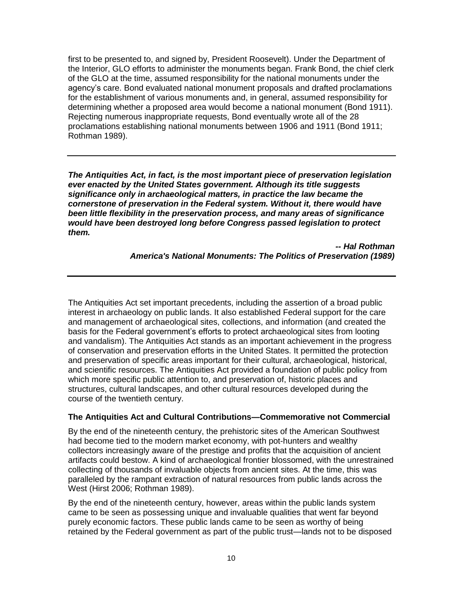first to be presented to, and signed by, President Roosevelt). Under the Department of the Interior, GLO efforts to administer the monuments began. Frank Bond, the chief clerk of the GLO at the time, assumed responsibility for the national monuments under the agency's care. Bond evaluated national monument proposals and drafted proclamations for the establishment of various monuments and, in general, assumed responsibility for determining whether a proposed area would become a national monument (Bond 1911). Rejecting numerous inappropriate requests, Bond eventually wrote all of the 28 proclamations establishing national monuments between 1906 and 1911 (Bond 1911; Rothman 1989).

*The Antiquities Act, in fact, is the most important piece of preservation legislation ever enacted by the United States government. Although its title suggests significance only in archaeological matters, in practice the law became the cornerstone of preservation in the Federal system. Without it, there would have been little flexibility in the preservation process, and many areas of significance would have been destroyed long before Congress passed legislation to protect them.*

> *-- Hal Rothman America's National Monuments: The Politics of Preservation (1989)*

The Antiquities Act set important precedents, including the assertion of a broad public interest in archaeology on public lands. It also established Federal support for the care and management of archaeological sites, collections, and information (and created the basis for the Federal government's efforts to protect archaeological sites from looting and vandalism). The Antiquities Act stands as an important achievement in the progress of conservation and preservation efforts in the United States. It permitted the protection and preservation of specific areas important for their cultural, archaeological, historical, and scientific resources. The Antiquities Act provided a foundation of public policy from which more specific public attention to, and preservation of, historic places and structures, cultural landscapes, and other cultural resources developed during the course of the twentieth century.

### **The Antiquities Act and Cultural Contributions—Commemorative not Commercial**

By the end of the nineteenth century, the prehistoric sites of the American Southwest had become tied to the modern market economy, with pot-hunters and wealthy collectors increasingly aware of the prestige and profits that the acquisition of ancient artifacts could bestow. A kind of archaeological frontier blossomed, with the unrestrained collecting of thousands of invaluable objects from ancient sites. At the time, this was paralleled by the rampant extraction of natural resources from public lands across the West (Hirst 2006; Rothman 1989).

By the end of the nineteenth century, however, areas within the public lands system came to be seen as possessing unique and invaluable qualities that went far beyond purely economic factors. These public lands came to be seen as worthy of being retained by the Federal government as part of the public trust—lands not to be disposed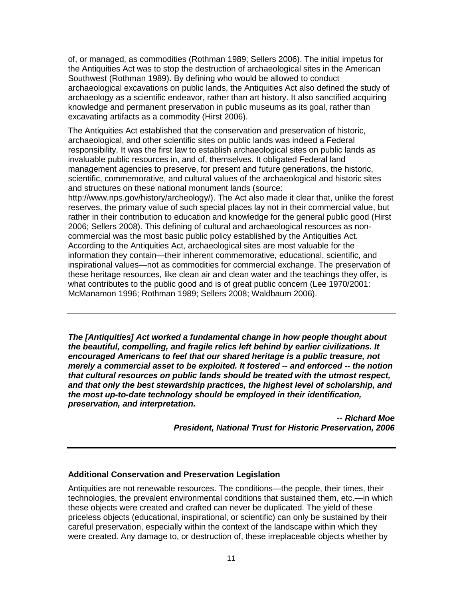of, or managed, as commodities (Rothman 1989; Sellers 2006). The initial impetus for the Antiquities Act was to stop the destruction of archaeological sites in the American Southwest (Rothman 1989). By defining who would be allowed to conduct archaeological excavations on public lands, the Antiquities Act also defined the study of archaeology as a scientific endeavor, rather than art history. It also sanctified acquiring knowledge and permanent preservation in public museums as its goal, rather than excavating artifacts as a commodity (Hirst 2006).

The Antiquities Act established that the conservation and preservation of historic, archaeological, and other scientific sites on public lands was indeed a Federal responsibility. It was the first law to establish archaeological sites on public lands as invaluable public resources in, and of, themselves. It obligated Federal land management agencies to preserve, for present and future generations, the historic, scientific, commemorative, and cultural values of the archaeological and historic sites and structures on these national monument lands (source:

http://www.nps.gov/history/archeology/). The Act also made it clear that, unlike the forest reserves, the primary value of such special places lay not in their commercial value, but rather in their contribution to education and knowledge for the general public good (Hirst 2006; Sellers 2008). This defining of cultural and archaeological resources as noncommercial was the most basic public policy established by the Antiquities Act. According to the Antiquities Act, archaeological sites are most valuable for the information they contain—their inherent commemorative, educational, scientific, and inspirational values—not as commodities for commercial exchange. The preservation of these heritage resources, like clean air and clean water and the teachings they offer, is what contributes to the public good and is of great public concern (Lee 1970/2001: McManamon 1996; Rothman 1989; Sellers 2008; Waldbaum 2006).

*The [Antiquities] Act worked a fundamental change in how people thought about the beautiful, compelling, and fragile relics left behind by earlier civilizations. It encouraged Americans to feel that our shared heritage is a public treasure, not merely a commercial asset to be exploited. It fostered -- and enforced -- the notion that cultural resources on public lands should be treated with the utmost respect, and that only the best stewardship practices, the highest level of scholarship, and the most up-to-date technology should be employed in their identification, preservation, and interpretation.*

> *-- Richard Moe President, National Trust for Historic Preservation, 2006*

### **Additional Conservation and Preservation Legislation**

Antiquities are not renewable resources. The conditions—the people, their times, their technologies, the prevalent environmental conditions that sustained them, etc.—in which these objects were created and crafted can never be duplicated. The yield of these priceless objects (educational, inspirational, or scientific) can only be sustained by their careful preservation, especially within the context of the landscape within which they were created. Any damage to, or destruction of, these irreplaceable objects whether by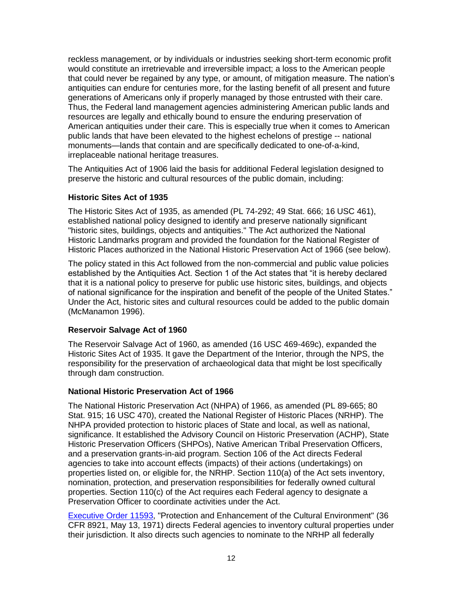reckless management, or by individuals or industries seeking short-term economic profit would constitute an irretrievable and irreversible impact; a loss to the American people that could never be regained by any type, or amount, of mitigation measure. The nation's antiquities can endure for centuries more, for the lasting benefit of all present and future generations of Americans only if properly managed by those entrusted with their care. Thus, the Federal land management agencies administering American public lands and resources are legally and ethically bound to ensure the enduring preservation of American antiquities under their care. This is especially true when it comes to American public lands that have been elevated to the highest echelons of prestige -- national monuments—lands that contain and are specifically dedicated to one-of-a-kind, irreplaceable national heritage treasures.

The Antiquities Act of 1906 laid the basis for additional Federal legislation designed to preserve the historic and cultural resources of the public domain, including:

### **Historic Sites Act of 1935**

The Historic Sites Act of 1935, as amended (PL 74-292; 49 Stat. 666; 16 USC 461), established national policy designed to identify and preserve nationally significant "historic sites, buildings, objects and antiquities." The Act authorized the National Historic Landmarks program and provided the foundation for the National Register of Historic Places authorized in the National Historic Preservation Act of 1966 (see below).

The policy stated in this Act followed from the non-commercial and public value policies established by the Antiquities Act. Section 1 of the Act states that "it is hereby declared that it is a national policy to preserve for public use historic sites, buildings, and objects of national significance for the inspiration and benefit of the people of the United States." Under the Act, historic sites and cultural resources could be added to the public domain (McManamon 1996).

### **Reservoir Salvage Act of 1960**

The Reservoir Salvage Act of 1960, as amended (16 USC 469-469c), expanded the Historic Sites Act of 1935. It gave the Department of the Interior, through the NPS, the responsibility for the preservation of archaeological data that might be lost specifically through dam construction.

### **National Historic Preservation Act of 1966**

The National Historic Preservation Act (NHPA) of 1966, as amended (PL 89-665; 80 Stat. 915; 16 USC 470), created the National Register of Historic Places (NRHP). The NHPA provided protection to historic places of State and local, as well as national, significance. It established the Advisory Council on Historic Preservation (ACHP), State Historic Preservation Officers (SHPOs), Native American Tribal Preservation Officers, and a preservation grants-in-aid program. Section 106 of the Act directs Federal agencies to take into account effects (impacts) of their actions (undertakings) on properties listed on, or eligible for, the NRHP. Section 110(a) of the Act sets inventory, nomination, protection, and preservation responsibilities for federally owned cultural properties. Section 110(c) of the Act requires each Federal agency to designate a Preservation Officer to coordinate activities under the Act.

[Executive Order 11593,](http://www.blm.gov/heritage/docum/eo11593.pdf) "Protection and Enhancement of the Cultural Environment" (36 CFR 8921, May 13, 1971) directs Federal agencies to inventory cultural properties under their jurisdiction. It also directs such agencies to nominate to the NRHP all federally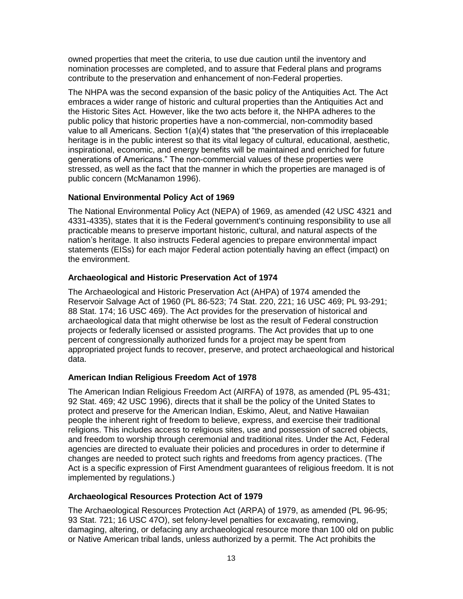owned properties that meet the criteria, to use due caution until the inventory and nomination processes are completed, and to assure that Federal plans and programs contribute to the preservation and enhancement of non-Federal properties.

The NHPA was the second expansion of the basic policy of the Antiquities Act. The Act embraces a wider range of historic and cultural properties than the Antiquities Act and the Historic Sites Act. However, like the two acts before it, the NHPA adheres to the public policy that historic properties have a non-commercial, non-commodity based value to all Americans. Section  $1(a)(4)$  states that "the preservation of this irreplaceable heritage is in the public interest so that its vital legacy of cultural, educational, aesthetic, inspirational, economic, and energy benefits will be maintained and enriched for future generations of Americans.‖ The non-commercial values of these properties were stressed, as well as the fact that the manner in which the properties are managed is of public concern (McManamon 1996).

### **National Environmental Policy Act of 1969**

The National Environmental Policy Act (NEPA) of 1969, as amended (42 USC 4321 and 4331-4335), states that it is the Federal government's continuing responsibility to use all practicable means to preserve important historic, cultural, and natural aspects of the nation's heritage. It also instructs Federal agencies to prepare environmental impact statements (EISs) for each major Federal action potentially having an effect (impact) on the environment.

# **Archaeological and Historic Preservation Act of 1974**

The Archaeological and Historic Preservation Act (AHPA) of 1974 amended the Reservoir Salvage Act of 1960 (PL 86-523; 74 Stat. 220, 221; 16 USC 469; PL 93-291; 88 Stat. 174; 16 USC 469). The Act provides for the preservation of historical and archaeological data that might otherwise be lost as the result of Federal construction projects or federally licensed or assisted programs. The Act provides that up to one percent of congressionally authorized funds for a project may be spent from appropriated project funds to recover, preserve, and protect archaeological and historical data.

### **American Indian Religious Freedom Act of 1978**

The American Indian Religious Freedom Act (AIRFA) of 1978, as amended (PL 95-431; 92 Stat. 469; 42 USC 1996), directs that it shall be the policy of the United States to protect and preserve for the American Indian, Eskimo, Aleut, and Native Hawaiian people the inherent right of freedom to believe, express, and exercise their traditional religions. This includes access to religious sites, use and possession of sacred objects, and freedom to worship through ceremonial and traditional rites. Under the Act, Federal agencies are directed to evaluate their policies and procedures in order to determine if changes are needed to protect such rights and freedoms from agency practices. (The Act is a specific expression of First Amendment guarantees of religious freedom. It is not implemented by regulations.)

# **Archaeological Resources Protection Act of 1979**

The Archaeological Resources Protection Act (ARPA) of 1979, as amended (PL 96-95; 93 Stat. 721; 16 USC 47O), set felony-level penalties for excavating, removing, damaging, altering, or defacing any archaeological resource more than 100 old on public or Native American tribal lands, unless authorized by a permit. The Act prohibits the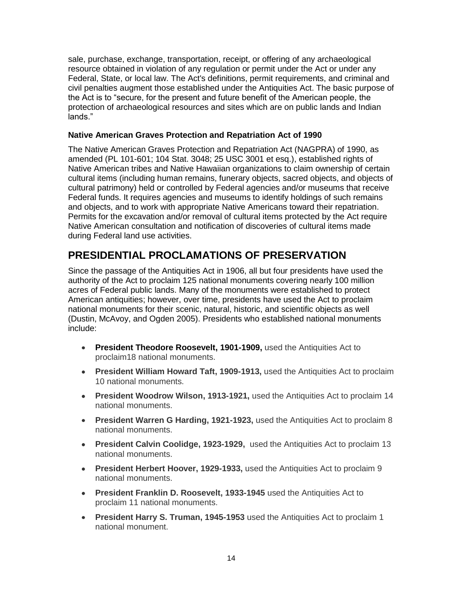sale, purchase, exchange, transportation, receipt, or offering of any archaeological resource obtained in violation of any regulation or permit under the Act or under any Federal, State, or local law. The Act's definitions, permit requirements, and criminal and civil penalties augment those established under the Antiquities Act. The basic purpose of the Act is to "secure, for the present and future benefit of the American people, the protection of archaeological resources and sites which are on public lands and Indian lands."

### **Native American Graves Protection and Repatriation Act of 1990**

The Native American Graves Protection and Repatriation Act (NAGPRA) of 1990, as amended (PL 101-601; 104 Stat. 3048; 25 USC 3001 et esq.), established rights of Native American tribes and Native Hawaiian organizations to claim ownership of certain cultural items (including human remains, funerary objects, sacred objects, and objects of cultural patrimony) held or controlled by Federal agencies and/or museums that receive Federal funds. It requires agencies and museums to identify holdings of such remains and objects, and to work with appropriate Native Americans toward their repatriation. Permits for the excavation and/or removal of cultural items protected by the Act require Native American consultation and notification of discoveries of cultural items made during Federal land use activities.

# **PRESIDENTIAL PROCLAMATIONS OF PRESERVATION**

Since the passage of the Antiquities Act in 1906, all but four presidents have used the authority of the Act to proclaim 125 national monuments covering nearly 100 million acres of Federal public lands. Many of the monuments were established to protect American antiquities; however, over time, presidents have used the Act to proclaim national monuments for their scenic, natural, historic, and scientific objects as well (Dustin, McAvoy, and Ogden 2005). Presidents who established national monuments include:

- **President Theodore Roosevelt, 1901-1909, used the Antiquities Act to** proclaim18 national monuments.
- **President William Howard Taft, 1909-1913,** used the Antiquities Act to proclaim 10 national monuments.
- **President Woodrow Wilson, 1913-1921,** used the Antiquities Act to proclaim 14 national monuments.
- **President Warren G Harding, 1921-1923,** used the Antiquities Act to proclaim 8 national monuments.
- **President Calvin Coolidge, 1923-1929,** used the Antiquities Act to proclaim 13 national monuments.
- **President Herbert Hoover, 1929-1933,** used the Antiquities Act to proclaim 9 national monuments.
- **President Franklin D. Roosevelt, 1933-1945** used the Antiquities Act to proclaim 11 national monuments.
- **President Harry S. Truman, 1945-1953** used the Antiquities Act to proclaim 1 national monument.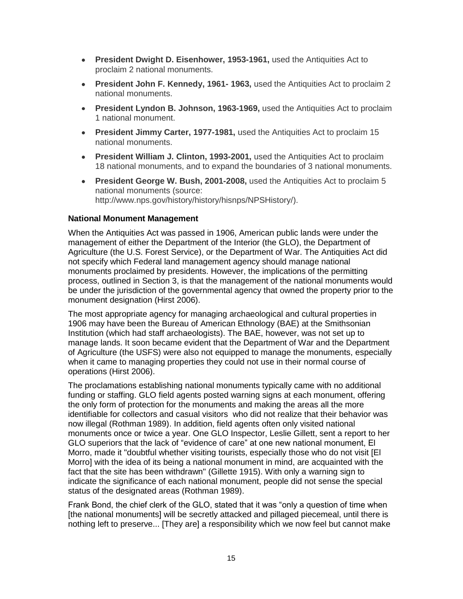- **President Dwight D. Eisenhower, 1953-1961,** used the Antiquities Act to proclaim 2 national monuments.
- **President John F. Kennedy, 1961-1963, used the Antiquities Act to proclaim 2** national monuments.
- **President Lyndon B. Johnson, 1963-1969,** used the Antiquities Act to proclaim 1 national monument.
- **President Jimmy Carter, 1977-1981,** used the Antiquities Act to proclaim 15 national monuments.
- **President William J. Clinton, 1993-2001,** used the Antiquities Act to proclaim 18 national monuments, and to expand the boundaries of 3 national monuments.
- **President George W. Bush, 2001-2008,** used the Antiquities Act to proclaim 5 national monuments (source: http://www.nps.gov/history/history/hisnps/NPSHistory/).

### **National Monument Management**

When the Antiquities Act was passed in 1906, American public lands were under the management of either the Department of the Interior (the GLO), the Department of Agriculture (the U.S. Forest Service), or the Department of War. The Antiquities Act did not specify which Federal land management agency should manage national monuments proclaimed by presidents. However, the implications of the permitting process, outlined in Section 3, is that the management of the national monuments would be under the jurisdiction of the governmental agency that owned the property prior to the monument designation (Hirst 2006).

The most appropriate agency for managing archaeological and cultural properties in 1906 may have been the Bureau of American Ethnology (BAE) at the Smithsonian Institution (which had staff archaeologists). The BAE, however, was not set up to manage lands. It soon became evident that the Department of War and the Department of Agriculture (the USFS) were also not equipped to manage the monuments, especially when it came to managing properties they could not use in their normal course of operations (Hirst 2006).

The proclamations establishing national monuments typically came with no additional funding or staffing. GLO field agents posted warning signs at each monument, offering the only form of protection for the monuments and making the areas all the more identifiable for collectors and casual visitors who did not realize that their behavior was now illegal (Rothman 1989). In addition, field agents often only visited national monuments once or twice a year. One GLO Inspector, Leslie Gillett, sent a report to her GLO superiors that the lack of "evidence of care" at one new national monument, El Morro, made it "doubtful whether visiting tourists, especially those who do not visit [El Morro] with the idea of its being a national monument in mind, are acquainted with the fact that the site has been withdrawn" (Gillette 1915). With only a warning sign to indicate the significance of each national monument, people did not sense the special status of the designated areas (Rothman 1989).

Frank Bond, the chief clerk of the GLO, stated that it was "only a question of time when [the national monuments] will be secretly attacked and pillaged piecemeal, until there is nothing left to preserve... [They are] a responsibility which we now feel but cannot make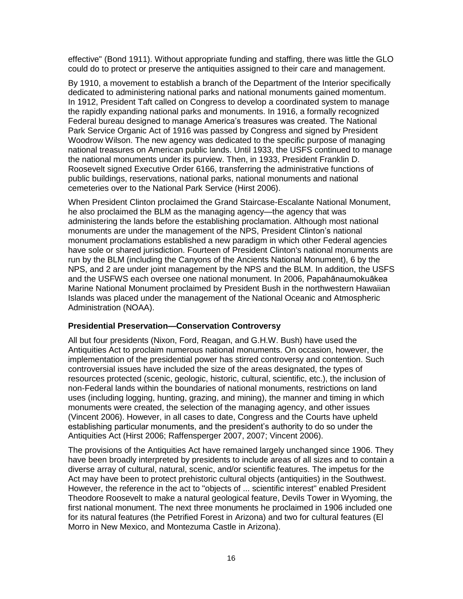effective" (Bond 1911). Without appropriate funding and staffing, there was little the GLO could do to protect or preserve the antiquities assigned to their care and management.

By 1910, a movement to establish a branch of the Department of the Interior specifically dedicated to administering national parks and national monuments gained momentum. In 1912, President Taft called on Congress to develop a coordinated system to manage the rapidly expanding national parks and monuments. In 1916, a formally recognized Federal bureau designed to manage America's treasures was created. The National Park Service Organic Act of 1916 was passed by Congress and signed by President Woodrow Wilson. The new agency was dedicated to the specific purpose of managing national treasures on American public lands. Until 1933, the USFS continued to manage the national monuments under its purview. Then, in 1933, President Franklin D. Roosevelt signed Executive Order 6166, transferring the administrative functions of public buildings, reservations, national parks, national monuments and national cemeteries over to the National Park Service (Hirst 2006).

When President Clinton proclaimed the Grand Staircase-Escalante National Monument, he also proclaimed the BLM as the managing agency—the agency that was administering the lands before the establishing proclamation. Although most national monuments are under the management of the NPS, President Clinton's national monument proclamations established a new paradigm in which other Federal agencies have sole or shared jurisdiction. Fourteen of President Clinton's national monuments are run by the BLM (including the Canyons of the Ancients National Monument), 6 by the NPS, and 2 are under joint management by the NPS and the BLM. In addition, the USFS and the USFWS each oversee one national monument. In 2006, Papahānaumokuākea Marine National Monument proclaimed by President Bush in the northwestern Hawaiian Islands was placed under the management of the National Oceanic and Atmospheric Administration (NOAA).

### **Presidential Preservation—Conservation Controversy**

All but four presidents (Nixon, Ford, Reagan, and G.H.W. Bush) have used the Antiquities Act to proclaim numerous national monuments. On occasion, however, the implementation of the presidential power has stirred controversy and contention. Such controversial issues have included the size of the areas designated, the types of resources protected (scenic, geologic, historic, cultural, scientific, etc.), the inclusion of non-Federal lands within the boundaries of national monuments, restrictions on land uses (including logging, hunting, grazing, and mining), the manner and timing in which monuments were created, the selection of the managing agency, and other issues (Vincent 2006). However, in all cases to date, Congress and the Courts have upheld establishing particular monuments, and the president's authority to do so under the Antiquities Act (Hirst 2006; Raffensperger 2007, 2007; Vincent 2006).

The provisions of the Antiquities Act have remained largely unchanged since 1906. They have been broadly interpreted by presidents to include areas of all sizes and to contain a diverse array of cultural, natural, scenic, and/or scientific features. The impetus for the Act may have been to protect prehistoric cultural objects (antiquities) in the Southwest. However, the reference in the act to "objects of ... scientific interest" enabled President Theodore Roosevelt to make a natural geological feature, Devils Tower in Wyoming, the first national monument. The next three monuments he proclaimed in 1906 included one for its natural features (the Petrified Forest in Arizona) and two for cultural features (El Morro in New Mexico, and Montezuma Castle in Arizona).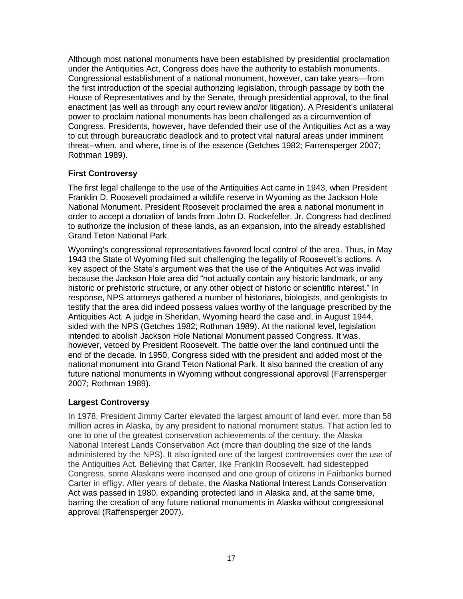Although most national monuments have been established by presidential proclamation under the Antiquities Act, Congress does have the authority to establish monuments. Congressional establishment of a national monument, however, can take years—from the first introduction of the special authorizing legislation, through passage by both the House of Representatives and by the Senate, through presidential approval, to the final enactment (as well as through any court review and/or litigation). A President's unilateral power to proclaim national monuments has been challenged as a circumvention of Congress. Presidents, however, have defended their use of the Antiquities Act as a way to cut through bureaucratic deadlock and to protect vital natural areas under imminent threat--when, and where, time is of the essence (Getches 1982; Farrensperger 2007; Rothman 1989).

### **First Controversy**

The first legal challenge to the use of the Antiquities Act came in 1943, when President Franklin D. Roosevelt proclaimed a wildlife reserve in Wyoming as the Jackson Hole National Monument. President Roosevelt proclaimed the area a national monument in order to accept a donation of lands from John D. Rockefeller, Jr. Congress had declined to authorize the inclusion of these lands, as an expansion, into the already established Grand Teton National Park.

Wyoming's congressional representatives favored local control of the area. Thus, in May 1943 the State of Wyoming filed suit challenging the legality of Roosevelt's actions. A key aspect of the State's argument was that the use of the Antiquities Act was invalid because the Jackson Hole area did "not actually contain any historic landmark, or any historic or prehistoric structure, or any other object of historic or scientific interest." In response, NPS attorneys gathered a number of historians, biologists, and geologists to testify that the area did indeed possess values worthy of the language prescribed by the Antiquities Act. A judge in Sheridan, Wyoming heard the case and, in August 1944, sided with the NPS (Getches 1982; Rothman 1989). At the national level, legislation intended to abolish Jackson Hole National Monument passed Congress. It was, however, vetoed by President Roosevelt. The battle over the land continued until the end of the decade. In 1950, Congress sided with the president and added most of the national monument into Grand Teton National Park. It also banned the creation of any future national monuments in Wyoming without congressional approval (Farrensperger 2007; Rothman 1989).

# **Largest Controversy**

In 1978, President Jimmy Carter elevated the largest amount of land ever, more than 58 million acres in Alaska, by any president to national monument status. That action led to one to one of the greatest conservation achievements of the century, the Alaska National Interest Lands Conservation Act (more than doubling the size of the lands administered by the NPS). It also ignited one of the largest controversies over the use of the Antiquities Act. Believing that Carter, like Franklin Roosevelt, had sidestepped Congress, some Alaskans were incensed and one group of citizens in Fairbanks burned Carter in effigy. After years of debate, the Alaska National Interest Lands Conservation Act was passed in 1980, expanding protected land in Alaska and, at the same time, barring the creation of any future national monuments in Alaska without congressional approval (Raffensperger 2007).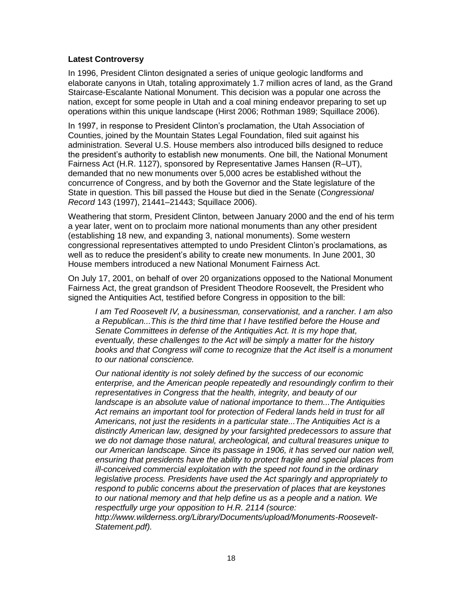### **Latest Controversy**

In 1996, President Clinton designated a series of unique geologic landforms and elaborate canyons in Utah, totaling approximately 1.7 million acres of land, as the Grand Staircase-Escalante National Monument. This decision was a popular one across the nation, except for some people in Utah and a coal mining endeavor preparing to set up operations within this unique landscape (Hirst 2006; Rothman 1989; Squillace 2006).

In 1997, in response to President Clinton's proclamation, the Utah Association of Counties, joined by the Mountain States Legal Foundation, filed suit against his administration. Several U.S. House members also introduced bills designed to reduce the president's authority to establish new monuments. One bill, the National Monument Fairness Act (H.R. 1127), sponsored by Representative James Hansen (R–UT), demanded that no new monuments over 5,000 acres be established without the concurrence of Congress, and by both the Governor and the State legislature of the State in question. This bill passed the House but died in the Senate (*Congressional Record* 143 (1997), 21441–21443; Squillace 2006).

Weathering that storm, President Clinton, between January 2000 and the end of his term a year later, went on to proclaim more national monuments than any other president (establishing 18 new, and expanding 3, national monuments). Some western congressional representatives attempted to undo President Clinton's proclamations, as well as to reduce the president's ability to create new monuments. In June 2001, 30 House members introduced a new National Monument Fairness Act.

On July 17, 2001, on behalf of over 20 organizations opposed to the National Monument Fairness Act, the great grandson of President Theodore Roosevelt, the President who signed the Antiquities Act, testified before Congress in opposition to the bill:

*I am Ted Roosevelt IV, a businessman, conservationist, and a rancher. I am also a Republican...This is the third time that I have testified before the House and Senate Committees in defense of the Antiquities Act. It is my hope that, eventually, these challenges to the Act will be simply a matter for the history books and that Congress will come to recognize that the Act itself is a monument to our national conscience.*

*Our national identity is not solely defined by the success of our economic enterprise, and the American people repeatedly and resoundingly confirm to their representatives in Congress that the health, integrity, and beauty of our landscape is an absolute value of national importance to them...The Antiquities Act remains an important tool for protection of Federal lands held in trust for all Americans, not just the residents in a particular state...The Antiquities Act is a distinctly American law, designed by your farsighted predecessors to assure that we do not damage those natural, archeological, and cultural treasures unique to our American landscape. Since its passage in 1906, it has served our nation well, ensuring that presidents have the ability to protect fragile and special places from ill-conceived commercial exploitation with the speed not found in the ordinary legislative process. Presidents have used the Act sparingly and appropriately to respond to public concerns about the preservation of places that are keystones to our national memory and that help define us as a people and a nation. We respectfully urge your opposition to H.R. 2114 (source:* 

*http://www.wilderness.org/Library/Documents/upload/Monuments-Roosevelt-Statement.pdf).*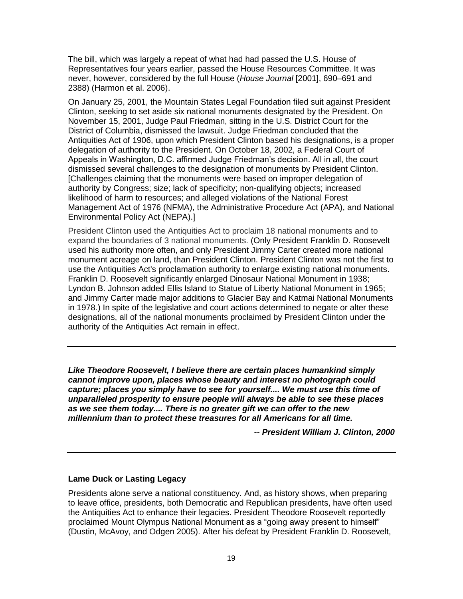The bill, which was largely a repeat of what had had passed the U.S. House of Representatives four years earlier, passed the House Resources Committee. It was never, however, considered by the full House (*House Journal* [2001], 690–691 and 2388) (Harmon et al. 2006).

On January 25, 2001, the Mountain States Legal Foundation filed suit against President Clinton, seeking to set aside six national monuments designated by the President. On November 15, 2001, Judge Paul Friedman, sitting in the U.S. District Court for the District of Columbia, dismissed the lawsuit. Judge Friedman concluded that the Antiquities Act of 1906, upon which President Clinton based his designations, is a proper delegation of authority to the President. On October 18, 2002, a Federal Court of Appeals in Washington, D.C. affirmed Judge Friedman's decision. All in all, the court dismissed several challenges to the designation of monuments by President Clinton. [Challenges claiming that the monuments were based on improper delegation of authority by Congress; size; lack of specificity; non-qualifying objects; increased likelihood of harm to resources; and alleged violations of the National Forest Management Act of 1976 (NFMA), the Administrative Procedure Act (APA), and National Environmental Policy Act (NEPA).]

President Clinton used the Antiquities Act to proclaim 18 national monuments and to expand the boundaries of 3 national monuments. (Only President Franklin D. Roosevelt used his authority more often, and only President Jimmy Carter created more national monument acreage on land, than President Clinton. President Clinton was not the first to use the Antiquities Act's proclamation authority to enlarge existing national monuments. Franklin D. Roosevelt significantly enlarged Dinosaur National Monument in 1938; Lyndon B. Johnson added Ellis Island to Statue of Liberty National Monument in 1965; and Jimmy Carter made major additions to Glacier Bay and Katmai National Monuments in 1978.) In spite of the legislative and court actions determined to negate or alter these designations, all of the national monuments proclaimed by President Clinton under the authority of the Antiquities Act remain in effect.

*Like Theodore Roosevelt, I believe there are certain places humankind simply cannot improve upon, places whose beauty and interest no photograph could capture; places you simply have to see for yourself.... We must use this time of unparalleled prosperity to ensure people will always be able to see these places as we see them today.... There is no greater gift we can offer to the new millennium than to protect these treasures for all Americans for all time.*

*-- President William J. Clinton, 2000*

### **Lame Duck or Lasting Legacy**

Presidents alone serve a national constituency. And, as history shows, when preparing to leave office, presidents, both Democratic and Republican presidents, have often used the Antiquities Act to enhance their legacies. President Theodore Roosevelt reportedly proclaimed Mount Olympus National Monument as a "going away present to himself" (Dustin, McAvoy, and Odgen 2005). After his defeat by President Franklin D. Roosevelt,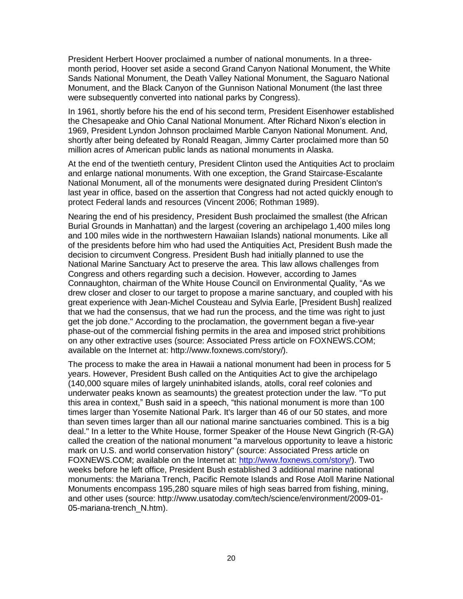President Herbert Hoover proclaimed a number of national monuments. In a threemonth period, Hoover set aside a second Grand Canyon National Monument, the White Sands National Monument, the Death Valley National Monument, the Saguaro National Monument, and the Black Canyon of the Gunnison National Monument (the last three were subsequently converted into national parks by Congress).

In 1961, shortly before his the end of his second term, President Eisenhower established the Chesapeake and Ohio Canal National Monument. After Richard Nixon's election in 1969, President Lyndon Johnson proclaimed Marble Canyon National Monument. And, shortly after being defeated by Ronald Reagan, Jimmy Carter proclaimed more than 50 million acres of American public lands as national monuments in Alaska.

At the end of the twentieth century, President Clinton used the Antiquities Act to proclaim and enlarge national monuments. With one exception, the Grand Staircase-Escalante National Monument, all of the monuments were designated during President Clinton's last year in office, based on the assertion that Congress had not acted quickly enough to protect Federal lands and resources (Vincent 2006; Rothman 1989).

Nearing the end of his presidency, President Bush proclaimed the smallest (the African Burial Grounds in Manhattan) and the largest (covering an archipelago 1,400 miles long and 100 miles wide in the northwestern Hawaiian Islands) national monuments. Like all of the presidents before him who had used the Antiquities Act, President Bush made the decision to circumvent Congress. President Bush had initially planned to use the National Marine Sanctuary Act to preserve the area. This law allows challenges from Congress and others regarding such a decision. However, according to James Connaughton, chairman of the White House Council on Environmental Quality, "As we drew closer and closer to our target to propose a marine sanctuary, and coupled with his great experience with Jean-Michel Cousteau and Sylvia Earle, [President Bush] realized that we had the consensus, that we had run the process, and the time was right to just get the job done." According to the proclamation, the government began a five-year phase-out of the commercial fishing permits in the area and imposed strict prohibitions on any other extractive uses (source: Associated Press article on FOXNEWS.COM; available on the Internet at: http://www.foxnews.com/story/).

The process to make the area in Hawaii a national monument had been in process for 5 years. However, President Bush called on the Antiquities Act to give the archipelago (140,000 square miles of largely uninhabited islands, atolls, coral reef colonies and underwater peaks known as seamounts) the greatest protection under the law. "To put this area in context," Bush said in a speech, "this national monument is more than 100 times larger than Yosemite National Park. It's larger than 46 of our 50 states, and more than seven times larger than all our national marine sanctuaries combined. This is a big deal." In a letter to the White House, former Speaker of the House Newt Gingrich (R-GA) called the creation of the national monument "a marvelous opportunity to leave a historic mark on U.S. and world conservation history" (source: Associated Press article on FOXNEWS.COM; available on the Internet at: [http://www.foxnews.com/story/\)](http://www.foxnews.com/story/). Two weeks before he left office, President Bush established 3 additional marine national monuments: the Mariana Trench, Pacific Remote Islands and Rose Atoll Marine National Monuments encompass 195,280 square miles of high seas barred from fishing, mining, and other uses (source: http://www.usatoday.com/tech/science/environment/2009-01- 05-mariana-trench\_N.htm).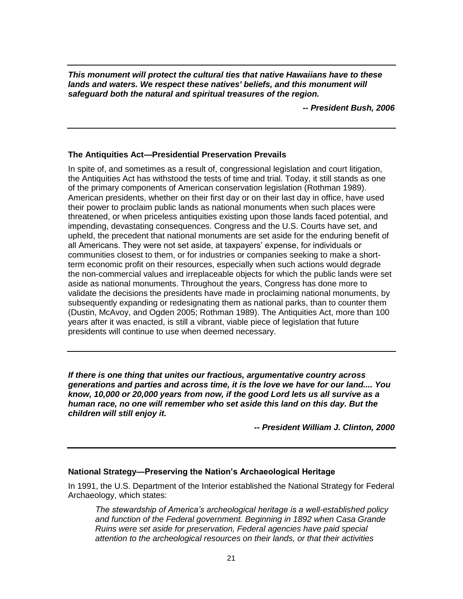*This monument will protect the cultural ties that native Hawaiians have to these lands and waters. We respect these natives' beliefs, and this monument will safeguard both the natural and spiritual treasures of the region.* 

*-- President Bush, 2006*

### **The Antiquities Act—Presidential Preservation Prevails**

In spite of, and sometimes as a result of, congressional legislation and court litigation, the Antiquities Act has withstood the tests of time and trial. Today, it still stands as one of the primary components of American conservation legislation (Rothman 1989). American presidents, whether on their first day or on their last day in office, have used their power to proclaim public lands as national monuments when such places were threatened, or when priceless antiquities existing upon those lands faced potential, and impending, devastating consequences. Congress and the U.S. Courts have set, and upheld, the precedent that national monuments are set aside for the enduring benefit of all Americans. They were not set aside, at taxpayers' expense, for individuals or communities closest to them, or for industries or companies seeking to make a shortterm economic profit on their resources, especially when such actions would degrade the non-commercial values and irreplaceable objects for which the public lands were set aside as national monuments. Throughout the years, Congress has done more to validate the decisions the presidents have made in proclaiming national monuments, by subsequently expanding or redesignating them as national parks, than to counter them (Dustin, McAvoy, and Ogden 2005; Rothman 1989). The Antiquities Act, more than 100 years after it was enacted, is still a vibrant, viable piece of legislation that future presidents will continue to use when deemed necessary.

*If there is one thing that unites our fractious, argumentative country across generations and parties and across time, it is the love we have for our land.... You know, 10,000 or 20,000 years from now, if the good Lord lets us all survive as a human race, no one will remember who set aside this land on this day. But the children will still enjoy it.*

*-- President William J. Clinton, 2000*

### **National Strategy—Preserving the Nation's Archaeological Heritage**

In 1991, the U.S. Department of the Interior established the National Strategy for Federal Archaeology, which states:

*The stewardship of America's archeological heritage is a well-established policy and function of the Federal government. Beginning in 1892 when Casa Grande Ruins were set aside for preservation, Federal agencies have paid special attention to the archeological resources on their lands, or that their activities*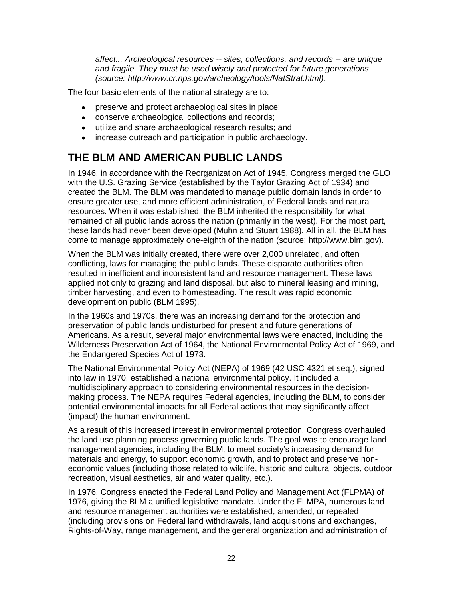*affect... Archeological resources -- sites, collections, and records -- are unique and fragile. They must be used wisely and protected for future generations (source: http://www.cr.nps.gov/archeology/tools/NatStrat.html).*

The four basic elements of the national strategy are to:

- preserve and protect archaeological sites in place;
- conserve archaeological collections and records;
- utilize and share archaeological research results; and
- increase outreach and participation in public archaeology.

# **THE BLM AND AMERICAN PUBLIC LANDS**

In 1946, in accordance with the Reorganization Act of 1945, Congress merged the GLO with the U.S. Grazing Service (established by the Taylor Grazing Act of 1934) and created the BLM. The BLM was mandated to manage public domain lands in order to ensure greater use, and more efficient administration, of Federal lands and natural resources. When it was established, the BLM inherited the responsibility for what remained of all public lands across the nation (primarily in the west). For the most part, these lands had never been developed (Muhn and Stuart 1988). All in all, the BLM has come to manage approximately one-eighth of the nation (source: http://www.blm.gov).

When the BLM was initially created, there were over 2,000 unrelated, and often conflicting, laws for managing the public lands. These disparate authorities often resulted in inefficient and inconsistent land and resource management. These laws applied not only to grazing and land disposal, but also to mineral leasing and mining, timber harvesting, and even to homesteading. The result was rapid economic development on public (BLM 1995).

In the 1960s and 1970s, there was an increasing demand for the protection and preservation of public lands undisturbed for present and future generations of Americans. As a result, several major environmental laws were enacted, including the Wilderness Preservation Act of 1964, the National Environmental Policy Act of 1969, and the Endangered Species Act of 1973.

The National Environmental Policy Act (NEPA) of 1969 (42 USC 4321 et seq.), signed into law in 1970, established a national environmental policy. It included a multidisciplinary approach to considering environmental resources in the decisionmaking process. The NEPA requires Federal agencies, including the BLM, to consider potential environmental impacts for all Federal actions that may significantly affect (impact) the human environment.

As a result of this increased interest in environmental protection, Congress overhauled the land use planning process governing public lands. The goal was to encourage land management agencies, including the BLM, to meet society's increasing demand for materials and energy, to support economic growth, and to protect and preserve noneconomic values (including those related to wildlife, historic and cultural objects, outdoor recreation, visual aesthetics, air and water quality, etc.).

In 1976, Congress enacted the Federal Land Policy and Management Act (FLPMA) of 1976, giving the BLM a unified legislative mandate. Under the FLMPA, numerous land and resource management authorities were established, amended, or repealed (including provisions on Federal land withdrawals, land acquisitions and exchanges, Rights-of-Way, range management, and the general organization and administration of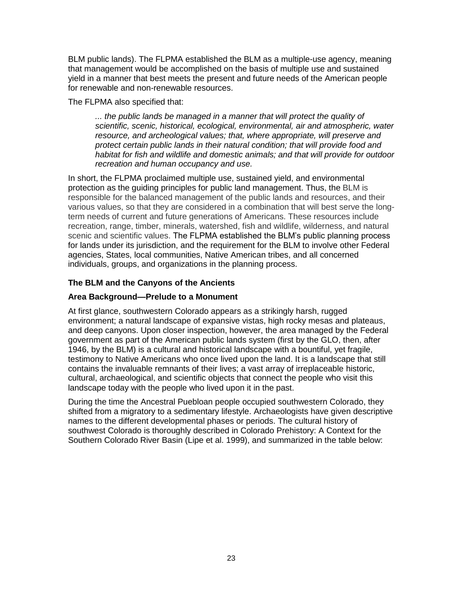BLM public lands). The FLPMA established the BLM as a multiple-use agency, meaning that management would be accomplished on the basis of multiple use and sustained yield in a manner that best meets the present and future needs of the American people for renewable and non-renewable resources.

The FLPMA also specified that:

*... the public lands be managed in a manner that will protect the quality of scientific, scenic, historical, ecological, environmental, air and atmospheric, water resource, and archeological values; that, where appropriate, will preserve and protect certain public lands in their natural condition; that will provide food and habitat for fish and wildlife and domestic animals; and that will provide for outdoor recreation and human occupancy and use.*

In short, the FLPMA proclaimed multiple use, sustained yield, and environmental protection as the guiding principles for public land management. Thus, the BLM is responsible for the balanced management of the public lands and resources, and their various values, so that they are considered in a combination that will best serve the longterm needs of current and future generations of Americans. These resources include recreation, range, timber, minerals, watershed, fish and wildlife, wilderness, and natural scenic and scientific values. The FLPMA established the BLM's public planning process for lands under its jurisdiction, and the requirement for the BLM to involve other Federal agencies, States, local communities, Native American tribes, and all concerned individuals, groups, and organizations in the planning process.

### **The BLM and the Canyons of the Ancients**

### **Area Background—Prelude to a Monument**

At first glance, southwestern Colorado appears as a strikingly harsh, rugged environment; a natural landscape of expansive vistas, high rocky mesas and plateaus, and deep canyons. Upon closer inspection, however, the area managed by the Federal government as part of the American public lands system (first by the GLO, then, after 1946, by the BLM) is a cultural and historical landscape with a bountiful, yet fragile, testimony to Native Americans who once lived upon the land. It is a landscape that still contains the invaluable remnants of their lives; a vast array of irreplaceable historic, cultural, archaeological, and scientific objects that connect the people who visit this landscape today with the people who lived upon it in the past.

During the time the Ancestral Puebloan people occupied southwestern Colorado, they shifted from a migratory to a sedimentary lifestyle. Archaeologists have given descriptive names to the different developmental phases or periods. The cultural history of southwest Colorado is thoroughly described in Colorado Prehistory: A Context for the Southern Colorado River Basin (Lipe et al. 1999), and summarized in the table below: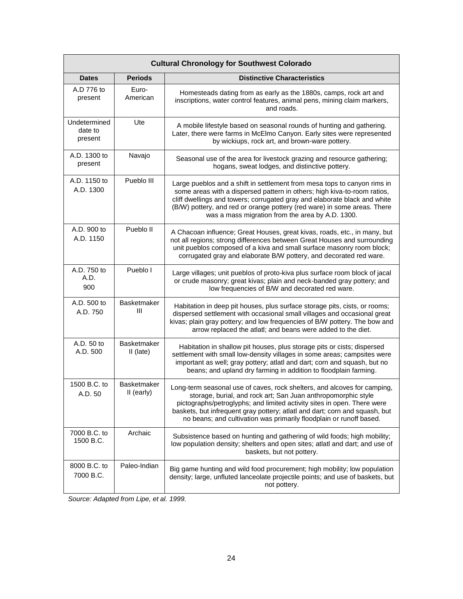| <b>Cultural Chronology for Southwest Colorado</b> |                                   |                                                                                                                                                                                                                                                                                                                                                                            |
|---------------------------------------------------|-----------------------------------|----------------------------------------------------------------------------------------------------------------------------------------------------------------------------------------------------------------------------------------------------------------------------------------------------------------------------------------------------------------------------|
| <b>Dates</b>                                      | <b>Periods</b>                    | <b>Distinctive Characteristics</b>                                                                                                                                                                                                                                                                                                                                         |
| A.D 776 to<br>present                             | Euro-<br>American                 | Homesteads dating from as early as the 1880s, camps, rock art and<br>inscriptions, water control features, animal pens, mining claim markers,<br>and roads.                                                                                                                                                                                                                |
| Undetermined<br>date to<br>present                | Ute                               | A mobile lifestyle based on seasonal rounds of hunting and gathering.<br>Later, there were farms in McElmo Canyon. Early sites were represented<br>by wickiups, rock art, and brown-ware pottery.                                                                                                                                                                          |
| A.D. 1300 to<br>present                           | Navajo                            | Seasonal use of the area for livestock grazing and resource gathering;<br>hogans, sweat lodges, and distinctive pottery.                                                                                                                                                                                                                                                   |
| A.D. 1150 to<br>A.D. 1300                         | Pueblo III                        | Large pueblos and a shift in settlement from mesa tops to canyon rims in<br>some areas with a dispersed pattern in others; high kiva-to-room ratios,<br>cliff dwellings and towers; corrugated gray and elaborate black and white<br>(B/W) pottery, and red or orange pottery (red ware) in some areas. There<br>was a mass migration from the area by A.D. 1300.          |
| A.D. 900 to<br>A.D. 1150                          | Pueblo II                         | A Chacoan influence; Great Houses, great kivas, roads, etc., in many, but<br>not all regions; strong differences between Great Houses and surrounding<br>unit pueblos composed of a kiva and small surface masonry room block;<br>corrugated gray and elaborate B/W pottery, and decorated red ware.                                                                       |
| A.D. 750 to<br>A.D.<br>900                        | Pueblo I                          | Large villages; unit pueblos of proto-kiva plus surface room block of jacal<br>or crude masonry; great kivas; plain and neck-banded gray pottery; and<br>low frequencies of B/W and decorated red ware.                                                                                                                                                                    |
| A.D. 500 to<br>A.D. 750                           | Basketmaker<br>Ш                  | Habitation in deep pit houses, plus surface storage pits, cists, or rooms;<br>dispersed settlement with occasional small villages and occasional great<br>kivas; plain gray pottery; and low frequencies of B/W pottery. The bow and<br>arrow replaced the atlatl; and beans were added to the diet.                                                                       |
| A.D. 50 to<br>A.D. 500                            | <b>Basketmaker</b><br>$II$ (late) | Habitation in shallow pit houses, plus storage pits or cists; dispersed<br>settlement with small low-density villages in some areas; campsites were<br>important as well; gray pottery; atlatl and dart; corn and squash, but no<br>beans; and upland dry farming in addition to floodplain farming.                                                                       |
| 1500 B.C. to<br>A.D. 50                           | <b>Basketmaker</b><br>II (early)  | Long-term seasonal use of caves, rock shelters, and alcoves for camping,<br>storage, burial, and rock art; San Juan anthropomorphic style<br>pictographs/petroglyphs; and limited activity sites in open. There were<br>baskets, but infrequent gray pottery; atlatl and dart; corn and squash, but<br>no beans; and cultivation was primarily floodplain or runoff based. |
| 7000 B.C. to<br>1500 B.C.                         | Archaic                           | Subsistence based on hunting and gathering of wild foods; high mobility;<br>low population density; shelters and open sites; atlatl and dart; and use of<br>baskets, but not pottery.                                                                                                                                                                                      |
| 8000 B.C. to<br>7000 B.C.                         | Paleo-Indian                      | Big game hunting and wild food procurement; high mobility; low population<br>density; large, unfluted lanceolate projectile points; and use of baskets, but<br>not pottery.                                                                                                                                                                                                |

*Source: Adapted from Lipe, et al. 1999.*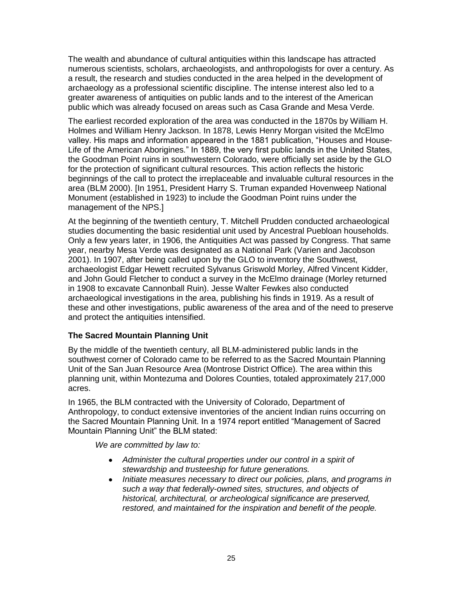The wealth and abundance of cultural antiquities within this landscape has attracted numerous scientists, scholars, archaeologists, and anthropologists for over a century. As a result, the research and studies conducted in the area helped in the development of archaeology as a professional scientific discipline. The intense interest also led to a greater awareness of antiquities on public lands and to the interest of the American public which was already focused on areas such as Casa Grande and Mesa Verde.

The earliest recorded exploration of the area was conducted in the 1870s by William H. Holmes and William Henry Jackson. In 1878, Lewis Henry Morgan visited the McElmo valley. His maps and information appeared in the 1881 publication, "Houses and House-Life of the American Aborigines." In 1889, the very first public lands in the United States, the Goodman Point ruins in southwestern Colorado, were officially set aside by the GLO for the protection of significant cultural resources. This action reflects the historic beginnings of the call to protect the irreplaceable and invaluable cultural resources in the area (BLM 2000). [In 1951, President Harry S. Truman expanded Hovenweep National Monument (established in 1923) to include the Goodman Point ruins under the management of the NPS.]

At the beginning of the twentieth century, T. Mitchell Prudden conducted archaeological studies documenting the basic residential unit used by Ancestral Puebloan households. Only a few years later, in 1906, the Antiquities Act was passed by Congress. That same year, nearby Mesa Verde was designated as a National Park (Varien and Jacobson 2001). In 1907, after being called upon by the GLO to inventory the Southwest, archaeologist Edgar Hewett recruited Sylvanus Griswold Morley, Alfred Vincent Kidder, and John Gould Fletcher to conduct a survey in the McElmo drainage (Morley returned in 1908 to excavate Cannonball Ruin). Jesse Walter Fewkes also conducted archaeological investigations in the area, publishing his finds in 1919. As a result of these and other investigations, public awareness of the area and of the need to preserve and protect the antiquities intensified.

# **The Sacred Mountain Planning Unit**

By the middle of the twentieth century, all BLM-administered public lands in the southwest corner of Colorado came to be referred to as the Sacred Mountain Planning Unit of the San Juan Resource Area (Montrose District Office). The area within this planning unit, within Montezuma and Dolores Counties, totaled approximately 217,000 acres.

In 1965, the BLM contracted with the University of Colorado, Department of Anthropology, to conduct extensive inventories of the ancient Indian ruins occurring on the Sacred Mountain Planning Unit. In a 1974 report entitled "Management of Sacred Mountain Planning Unit" the BLM stated:

*We are committed by law to:*

- *Administer the cultural properties under our control in a spirit of stewardship and trusteeship for future generations.*
- *Initiate measures necessary to direct our policies, plans, and programs in such a way that federally-owned sites, structures, and objects of historical, architectural, or archeological significance are preserved, restored, and maintained for the inspiration and benefit of the people.*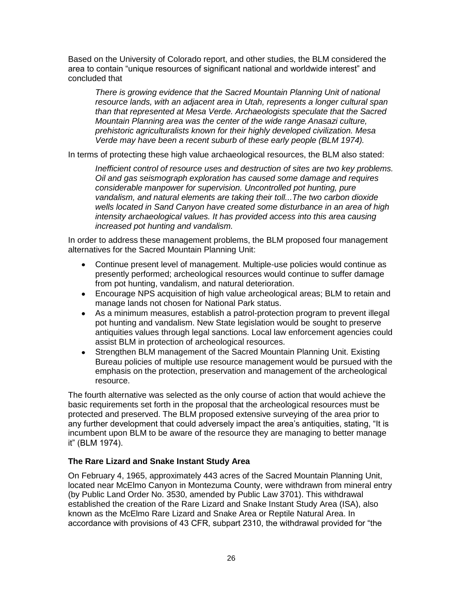Based on the University of Colorado report, and other studies, the BLM considered the area to contain "unique resources of significant national and worldwide interest" and concluded that

*There is growing evidence that the Sacred Mountain Planning Unit of national resource lands, with an adjacent area in Utah, represents a longer cultural span than that represented at Mesa Verde. Archaeologists speculate that the Sacred Mountain Planning area was the center of the wide range Anasazi culture, prehistoric agriculturalists known for their highly developed civilization. Mesa Verde may have been a recent suburb of these early people (BLM 1974).*

In terms of protecting these high value archaeological resources, the BLM also stated:

*Inefficient control of resource uses and destruction of sites are two key problems. Oil and gas seismograph exploration has caused some damage and requires considerable manpower for supervision. Uncontrolled pot hunting, pure vandalism, and natural elements are taking their toll...The two carbon dioxide wells located in Sand Canyon have created some disturbance in an area of high intensity archaeological values. It has provided access into this area causing increased pot hunting and vandalism.*

In order to address these management problems, the BLM proposed four management alternatives for the Sacred Mountain Planning Unit:

- Continue present level of management. Multiple-use policies would continue as presently performed; archeological resources would continue to suffer damage from pot hunting, vandalism, and natural deterioration.
- Encourage NPS acquisition of high value archeological areas; BLM to retain and manage lands not chosen for National Park status.
- As a minimum measures, establish a patrol-protection program to prevent illegal pot hunting and vandalism. New State legislation would be sought to preserve antiquities values through legal sanctions. Local law enforcement agencies could assist BLM in protection of archeological resources.
- Strengthen BLM management of the Sacred Mountain Planning Unit. Existing Bureau policies of multiple use resource management would be pursued with the emphasis on the protection, preservation and management of the archeological resource.

The fourth alternative was selected as the only course of action that would achieve the basic requirements set forth in the proposal that the archeological resources must be protected and preserved. The BLM proposed extensive surveying of the area prior to any further development that could adversely impact the area's antiquities, stating, "It is incumbent upon BLM to be aware of the resource they are managing to better manage it" (BLM 1974).

### **The Rare Lizard and Snake Instant Study Area**

On February 4, 1965, approximately 443 acres of the Sacred Mountain Planning Unit, located near McElmo Canyon in Montezuma County, were withdrawn from mineral entry (by Public Land Order No. 3530, amended by Public Law 3701). This withdrawal established the creation of the Rare Lizard and Snake Instant Study Area (ISA), also known as the McElmo Rare Lizard and Snake Area or Reptile Natural Area. In accordance with provisions of 43 CFR, subpart 2310, the withdrawal provided for "the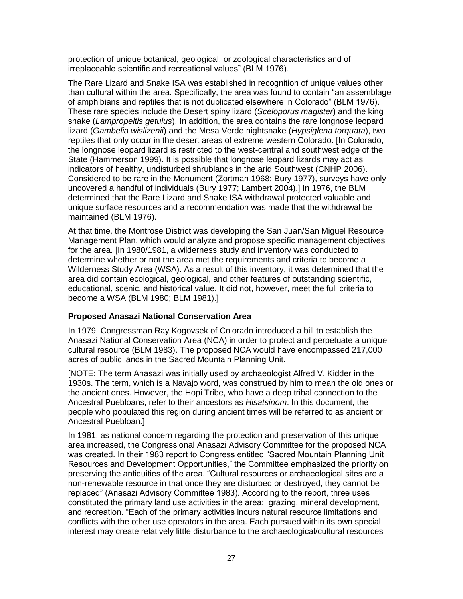protection of unique botanical, geological, or zoological characteristics and of irreplaceable scientific and recreational values" (BLM 1976).

The Rare Lizard and Snake ISA was established in recognition of unique values other than cultural within the area. Specifically, the area was found to contain "an assemblage of amphibians and reptiles that is not duplicated elsewhere in Colorado" (BLM 1976). These rare species include the Desert spiny lizard (*Sceloporus magister*) and the king snake (*Lampropeltis getulus*). In addition, the area contains the rare longnose leopard lizard (*Gambelia wislizenii*) and the Mesa Verde nightsnake (*Hypsiglena torquata*), two reptiles that only occur in the desert areas of extreme western Colorado. [In Colorado, the longnose leopard lizard is restricted to the west-central and southwest edge of the State (Hammerson 1999). It is possible that longnose leopard lizards may act as indicators of healthy, undisturbed shrublands in the arid Southwest (CNHP 2006). Considered to be rare in the Monument (Zortman 1968; Bury 1977), surveys have only uncovered a handful of individuals (Bury 1977; Lambert 2004).] In 1976, the BLM determined that the Rare Lizard and Snake ISA withdrawal protected valuable and unique surface resources and a recommendation was made that the withdrawal be maintained (BLM 1976).

At that time, the Montrose District was developing the San Juan/San Miguel Resource Management Plan, which would analyze and propose specific management objectives for the area. [In 1980/1981, a wilderness study and inventory was conducted to determine whether or not the area met the requirements and criteria to become a Wilderness Study Area (WSA). As a result of this inventory, it was determined that the area did contain ecological, geological, and other features of outstanding scientific, educational, scenic, and historical value. It did not, however, meet the full criteria to become a WSA (BLM 1980; BLM 1981).]

### **Proposed Anasazi National Conservation Area**

In 1979, Congressman Ray Kogovsek of Colorado introduced a bill to establish the Anasazi National Conservation Area (NCA) in order to protect and perpetuate a unique cultural resource (BLM 1983). The proposed NCA would have encompassed 217,000 acres of public lands in the Sacred Mountain Planning Unit.

[NOTE: The term Anasazi was initially used by archaeologist Alfred V. Kidder in the 1930s. The term, which is a Navajo word, was construed by him to mean the old ones or the ancient ones. However, the Hopi Tribe, who have a deep tribal connection to the Ancestral Puebloans, refer to their ancestors as *Hisatsinom*. In this document, the people who populated this region during ancient times will be referred to as ancient or Ancestral Puebloan.]

In 1981, as national concern regarding the protection and preservation of this unique area increased, the Congressional Anasazi Advisory Committee for the proposed NCA was created. In their 1983 report to Congress entitled "Sacred Mountain Planning Unit Resources and Development Opportunities," the Committee emphasized the priority on preserving the antiquities of the area. "Cultural resources or archaeological sites are a non-renewable resource in that once they are disturbed or destroyed, they cannot be replaced‖ (Anasazi Advisory Committee 1983). According to the report, three uses constituted the primary land use activities in the area: grazing, mineral development, and recreation. "Each of the primary activities incurs natural resource limitations and conflicts with the other use operators in the area. Each pursued within its own special interest may create relatively little disturbance to the archaeological/cultural resources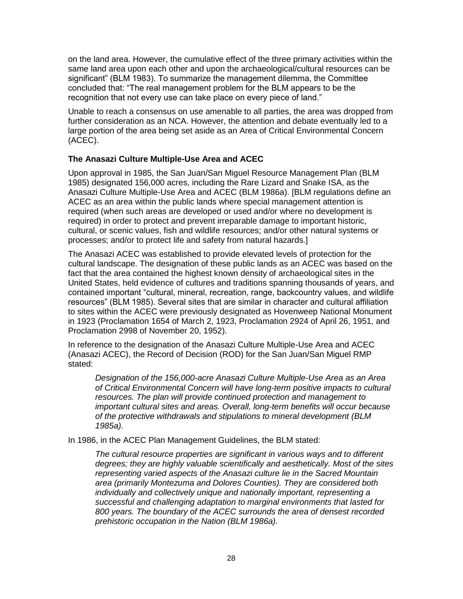on the land area. However, the cumulative effect of the three primary activities within the same land area upon each other and upon the archaeological/cultural resources can be significant‖ (BLM 1983). To summarize the management dilemma, the Committee concluded that: ―The real management problem for the BLM appears to be the recognition that not every use can take place on every piece of land."

Unable to reach a consensus on use amenable to all parties, the area was dropped from further consideration as an NCA. However, the attention and debate eventually led to a large portion of the area being set aside as an Area of Critical Environmental Concern (ACEC).

### **The Anasazi Culture Multiple-Use Area and ACEC**

Upon approval in 1985, the San Juan/San Miguel Resource Management Plan (BLM 1985) designated 156,000 acres, including the Rare Lizard and Snake ISA, as the Anasazi Culture Multiple-Use Area and ACEC (BLM 1986a). [BLM regulations define an ACEC as an area within the public lands where special management attention is required (when such areas are developed or used and/or where no development is required) in order to protect and prevent irreparable damage to important historic, cultural, or scenic values, fish and wildlife resources; and/or other natural systems or processes; and/or to protect life and safety from natural hazards.]

The Anasazi ACEC was established to provide elevated levels of protection for the cultural landscape. The designation of these public lands as an ACEC was based on the fact that the area contained the highest known density of archaeological sites in the United States, held evidence of cultures and traditions spanning thousands of years, and contained important "cultural, mineral, recreation, range, backcountry values, and wildlife resources‖ (BLM 1985). Several sites that are similar in character and cultural affiliation to sites within the ACEC were previously designated as Hovenweep National Monument in 1923 (Proclamation 1654 of March 2, 1923, Proclamation 2924 of April 26, 1951, and Proclamation 2998 of November 20, 1952).

In reference to the designation of the Anasazi Culture Multiple-Use Area and ACEC (Anasazi ACEC), the Record of Decision (ROD) for the San Juan/San Miguel RMP stated:

*Designation of the 156,000-acre Anasazi Culture Multiple-Use Area as an Area of Critical Environmental Concern will have long-term positive impacts to cultural resources. The plan will provide continued protection and management to important cultural sites and areas. Overall, long-term benefits will occur because of the protective withdrawals and stipulations to mineral development (BLM 1985a).*

In 1986, in the ACEC Plan Management Guidelines, the BLM stated:

*The cultural resource properties are significant in various ways and to different degrees; they are highly valuable scientifically and aesthetically. Most of the sites representing varied aspects of the Anasazi culture lie in the Sacred Mountain area (primarily Montezuma and Dolores Counties). They are considered both individually and collectively unique and nationally important, representing a successful and challenging adaptation to marginal environments that lasted for 800 years. The boundary of the ACEC surrounds the area of densest recorded prehistoric occupation in the Nation (BLM 1986a).*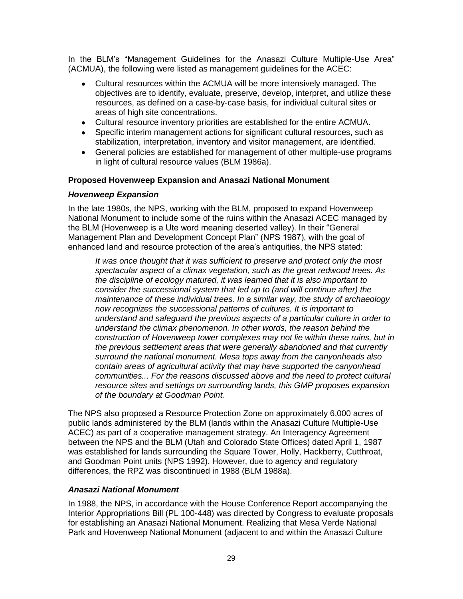In the BLM's "Management Guidelines for the Anasazi Culture Multiple-Use Area" (ACMUA), the following were listed as management guidelines for the ACEC:

- Cultural resources within the ACMUA will be more intensively managed. The objectives are to identify, evaluate, preserve, develop, interpret, and utilize these resources, as defined on a case-by-case basis, for individual cultural sites or areas of high site concentrations.
- Cultural resource inventory priorities are established for the entire ACMUA.
- Specific interim management actions for significant cultural resources, such as stabilization, interpretation, inventory and visitor management, are identified.
- General policies are established for management of other multiple-use programs in light of cultural resource values (BLM 1986a).

### **Proposed Hovenweep Expansion and Anasazi National Monument**

### *Hovenweep Expansion*

In the late 1980s, the NPS, working with the BLM, proposed to expand Hovenweep National Monument to include some of the ruins within the Anasazi ACEC managed by the BLM (Hovenweep is a Ute word meaning deserted valley). In their "General Management Plan and Development Concept Plan" (NPS 1987), with the goal of enhanced land and resource protection of the area's antiquities, the NPS stated:

*It was once thought that it was sufficient to preserve and protect only the most spectacular aspect of a climax vegetation, such as the great redwood trees. As the discipline of ecology matured, it was learned that it is also important to consider the successional system that led up to (and will continue after) the maintenance of these individual trees. In a similar way, the study of archaeology now recognizes the successional patterns of cultures. It is important to understand and safeguard the previous aspects of a particular culture in order to understand the climax phenomenon. In other words, the reason behind the construction of Hovenweep tower complexes may not lie within these ruins, but in the previous settlement areas that were generally abandoned and that currently surround the national monument. Mesa tops away from the canyonheads also contain areas of agricultural activity that may have supported the canyonhead communities... For the reasons discussed above and the need to protect cultural resource sites and settings on surrounding lands, this GMP proposes expansion of the boundary at Goodman Point.*

The NPS also proposed a Resource Protection Zone on approximately 6,000 acres of public lands administered by the BLM (lands within the Anasazi Culture Multiple-Use ACEC) as part of a cooperative management strategy. An Interagency Agreement between the NPS and the BLM (Utah and Colorado State Offices) dated April 1, 1987 was established for lands surrounding the Square Tower, Holly, Hackberry, Cutthroat, and Goodman Point units (NPS 1992). However, due to agency and regulatory differences, the RPZ was discontinued in 1988 (BLM 1988a).

### *Anasazi National Monument*

In 1988, the NPS, in accordance with the House Conference Report accompanying the Interior Appropriations Bill (PL 100-448) was directed by Congress to evaluate proposals for establishing an Anasazi National Monument. Realizing that Mesa Verde National Park and Hovenweep National Monument (adjacent to and within the Anasazi Culture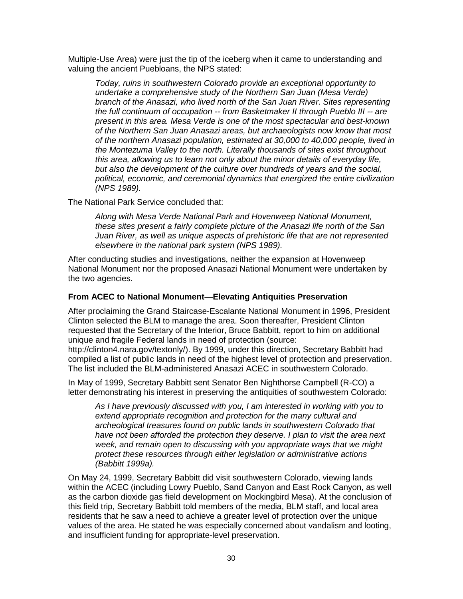Multiple-Use Area) were just the tip of the iceberg when it came to understanding and valuing the ancient Puebloans, the NPS stated:

*Today, ruins in southwestern Colorado provide an exceptional opportunity to undertake a comprehensive study of the Northern San Juan (Mesa Verde) branch of the Anasazi, who lived north of the San Juan River. Sites representing the full continuum of occupation -- from Basketmaker II through Pueblo III -- are present in this area. Mesa Verde is one of the most spectacular and best-known of the Northern San Juan Anasazi areas, but archaeologists now know that most of the northern Anasazi population, estimated at 30,000 to 40,000 people, lived in the Montezuma Valley to the north. Literally thousands of sites exist throughout this area, allowing us to learn not only about the minor details of everyday life, but also the development of the culture over hundreds of years and the social, political, economic, and ceremonial dynamics that energized the entire civilization (NPS 1989).*

The National Park Service concluded that:

*Along with Mesa Verde National Park and Hovenweep National Monument, these sites present a fairly complete picture of the Anasazi life north of the San Juan River, as well as unique aspects of prehistoric life that are not represented elsewhere in the national park system (NPS 1989).*

After conducting studies and investigations, neither the expansion at Hovenweep National Monument nor the proposed Anasazi National Monument were undertaken by the two agencies.

### **From ACEC to National Monument—Elevating Antiquities Preservation**

After proclaiming the Grand Staircase-Escalante National Monument in 1996, President Clinton selected the BLM to manage the area. Soon thereafter, President Clinton requested that the Secretary of the Interior, Bruce Babbitt, report to him on additional unique and fragile Federal lands in need of protection (source:

http://clinton4.nara.gov/textonly/). By 1999, under this direction, Secretary Babbitt had compiled a list of public lands in need of the highest level of protection and preservation. The list included the BLM-administered Anasazi ACEC in southwestern Colorado.

In May of 1999, Secretary Babbitt sent Senator Ben Nighthorse Campbell (R-CO) a letter demonstrating his interest in preserving the antiquities of southwestern Colorado:

*As I have previously discussed with you, I am interested in working with you to extend appropriate recognition and protection for the many cultural and archeological treasures found on public lands in southwestern Colorado that have not been afforded the protection they deserve. I plan to visit the area next week, and remain open to discussing with you appropriate ways that we might protect these resources through either legislation or administrative actions (Babbitt 1999a).*

On May 24, 1999, Secretary Babbitt did visit southwestern Colorado, viewing lands within the ACEC (including Lowry Pueblo, Sand Canyon and East Rock Canyon, as well as the carbon dioxide gas field development on Mockingbird Mesa). At the conclusion of this field trip, Secretary Babbitt told members of the media, BLM staff, and local area residents that he saw a need to achieve a greater level of protection over the unique values of the area. He stated he was especially concerned about vandalism and looting, and insufficient funding for appropriate-level preservation.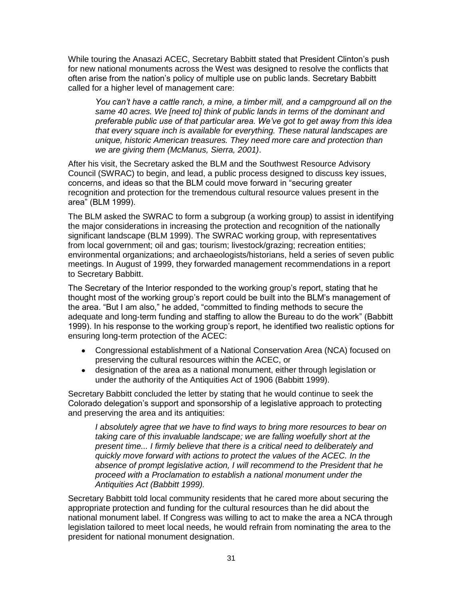While touring the Anasazi ACEC, Secretary Babbitt stated that President Clinton's push for new national monuments across the West was designed to resolve the conflicts that often arise from the nation's policy of multiple use on public lands. Secretary Babbitt called for a higher level of management care:

*You can't have a cattle ranch, a mine, a timber mill, and a campground all on the same 40 acres. We [need to] think of public lands in terms of the dominant and preferable public use of that particular area. We've got to get away from this idea that every square inch is available for everything. These natural landscapes are unique, historic American treasures. They need more care and protection than we are giving them (McManus, Sierra, 2001)*.

After his visit, the Secretary asked the BLM and the Southwest Resource Advisory Council (SWRAC) to begin, and lead, a public process designed to discuss key issues, concerns, and ideas so that the BLM could move forward in "securing greater recognition and protection for the tremendous cultural resource values present in the area" (BLM 1999).

The BLM asked the SWRAC to form a subgroup (a working group) to assist in identifying the major considerations in increasing the protection and recognition of the nationally significant landscape (BLM 1999). The SWRAC working group, with representatives from local government; oil and gas; tourism; livestock/grazing; recreation entities; environmental organizations; and archaeologists/historians, held a series of seven public meetings. In August of 1999, they forwarded management recommendations in a report to Secretary Babbitt.

The Secretary of the Interior responded to the working group's report, stating that he thought most of the working group's report could be built into the BLM's management of the area. "But I am also," he added, "committed to finding methods to secure the adequate and long-term funding and staffing to allow the Bureau to do the work" (Babbitt 1999). In his response to the working group's report, he identified two realistic options for ensuring long-term protection of the ACEC:

- Congressional establishment of a National Conservation Area (NCA) focused on preserving the cultural resources within the ACEC, or
- designation of the area as a national monument, either through legislation or under the authority of the Antiquities Act of 1906 (Babbitt 1999).

Secretary Babbitt concluded the letter by stating that he would continue to seek the Colorado delegation's support and sponsorship of a legislative approach to protecting and preserving the area and its antiquities:

*I absolutely agree that we have to find ways to bring more resources to bear on taking care of this invaluable landscape; we are falling woefully short at the present time... I firmly believe that there is a critical need to deliberately and quickly move forward with actions to protect the values of the ACEC. In the absence of prompt legislative action, I will recommend to the President that he proceed with a Proclamation to establish a national monument under the Antiquities Act (Babbitt 1999).*

Secretary Babbitt told local community residents that he cared more about securing the appropriate protection and funding for the cultural resources than he did about the national monument label. If Congress was willing to act to make the area a NCA through legislation tailored to meet local needs, he would refrain from nominating the area to the president for national monument designation.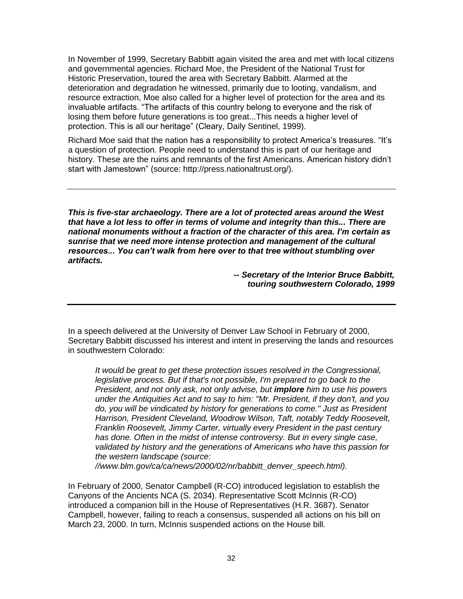In November of 1999, Secretary Babbitt again visited the area and met with local citizens and governmental agencies. Richard Moe, the President of the National Trust for Historic Preservation, toured the area with Secretary Babbitt. Alarmed at the deterioration and degradation he witnessed, primarily due to looting, vandalism, and resource extraction, Moe also called for a higher level of protection for the area and its invaluable artifacts. "The artifacts of this country belong to everyone and the risk of losing them before future generations is too great...This needs a higher level of protection. This is all our heritage" (Cleary, Daily Sentinel, 1999).

Richard Moe said that the nation has a responsibility to protect America's treasures. "It's a question of protection. People need to understand this is part of our heritage and history. These are the ruins and remnants of the first Americans. American history didn't start with Jamestown" (source: http://press.nationaltrust.org/).

*This is five-star archaeology. There are a lot of protected areas around the West that have a lot less to offer in terms of volume and integrity than this... There are national monuments without a fraction of the character of this area. I'm certain as sunrise that we need more intense protection and management of the cultural resources... You can't walk from here over to that tree without stumbling over artifacts.*

> *-- Secretary of the Interior Bruce Babbitt, touring southwestern Colorado, 1999*

In a speech delivered at the University of Denver Law School in February of 2000, Secretary Babbitt discussed his interest and intent in preserving the lands and resources in southwestern Colorado:

*It would be great to get these protection issues resolved in the Congressional, legislative process. But if that's not possible, I'm prepared to go back to the President, and not only ask, not only advise, but implore him to use his powers under the Antiquities Act and to say to him: "Mr. President, if they don't, and you do, you will be vindicated by history for generations to come." Just as President Harrison, President Cleveland, Woodrow Wilson, Taft, notably Teddy Roosevelt, Franklin Roosevelt, Jimmy Carter, virtually every President in the past century has done. Often in the midst of intense controversy. But in every single case, validated by history and the generations of Americans who have this passion for the western landscape (source:*

*//www.blm.gov/ca/ca/news/2000/02/nr/babbitt\_denver\_speech.html).*

In February of 2000, Senator Campbell (R-CO) introduced legislation to establish the Canyons of the Ancients NCA (S. 2034). Representative Scott McInnis (R-CO) introduced a companion bill in the House of Representatives (H.R. 3687). Senator Campbell, however, failing to reach a consensus, suspended all actions on his bill on March 23, 2000. In turn, McInnis suspended actions on the House bill.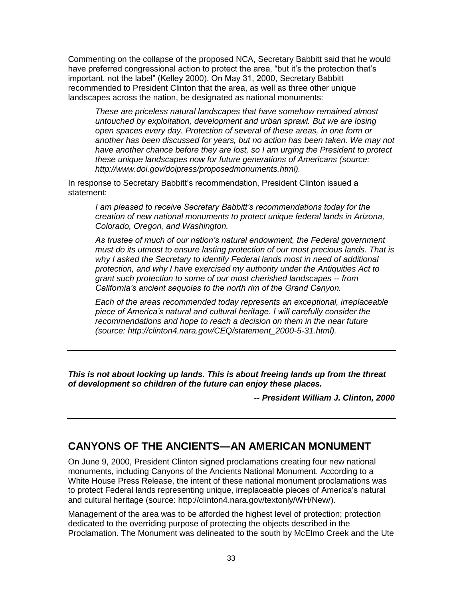Commenting on the collapse of the proposed NCA, Secretary Babbitt said that he would have preferred congressional action to protect the area, "but it's the protection that's important, not the label" (Kelley 2000). On May 31, 2000, Secretary Babbitt recommended to President Clinton that the area, as well as three other unique landscapes across the nation, be designated as national monuments:

*These are priceless natural landscapes that have somehow remained almost untouched by exploitation, development and urban sprawl. But we are losing open spaces every day. Protection of several of these areas, in one form or another has been discussed for years, but no action has been taken. We may not have another chance before they are lost, so I am urging the President to protect these unique landscapes now for future generations of Americans (source: http://www.doi.gov/doipress/proposedmonuments.html).* 

In response to Secretary Babbitt's recommendation, President Clinton issued a statement:

*I am pleased to receive Secretary Babbitt's recommendations today for the creation of new national monuments to protect unique federal lands in Arizona, Colorado, Oregon, and Washington.*

*As trustee of much of our nation's natural endowment, the Federal government must do its utmost to ensure lasting protection of our most precious lands. That is why I asked the Secretary to identify Federal lands most in need of additional protection, and why I have exercised my authority under the Antiquities Act to grant such protection to some of our most cherished landscapes -- from California's ancient sequoias to the north rim of the Grand Canyon.*

*Each of the areas recommended today represents an exceptional, irreplaceable piece of America's natural and cultural heritage. I will carefully consider the recommendations and hope to reach a decision on them in the near future (source: http://clinton4.nara.gov/CEQ/statement\_2000-5-31.html).*

*This is not about locking up lands. This is about freeing lands up from the threat of development so children of the future can enjoy these places.*

*-- President William J. Clinton, 2000*

# **CANYONS OF THE ANCIENTS—AN AMERICAN MONUMENT**

On June 9, 2000, President Clinton signed proclamations creating four new national monuments, including Canyons of the Ancients National Monument. According to a White House Press Release, the intent of these national monument proclamations was to protect Federal lands representing unique, irreplaceable pieces of America's natural and cultural heritage (source: http://clinton4.nara.gov/textonly/WH/New/).

Management of the area was to be afforded the highest level of protection; protection dedicated to the overriding purpose of protecting the objects described in the Proclamation. The Monument was delineated to the south by McElmo Creek and the Ute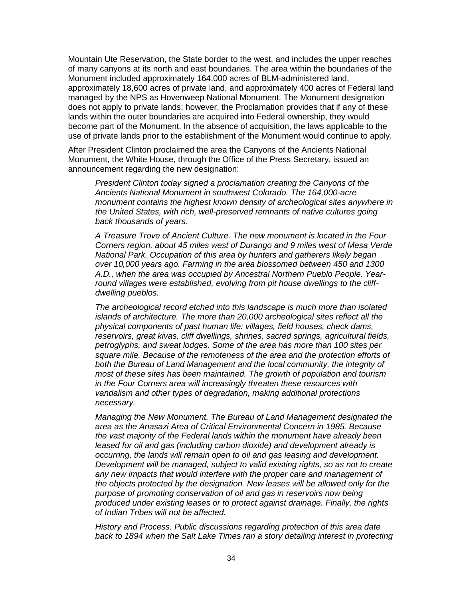Mountain Ute Reservation, the State border to the west, and includes the upper reaches of many canyons at its north and east boundaries. The area within the boundaries of the Monument included approximately 164,000 acres of BLM-administered land, approximately 18,600 acres of private land, and approximately 400 acres of Federal land managed by the NPS as Hovenweep National Monument. The Monument designation does not apply to private lands; however, the Proclamation provides that if any of these lands within the outer boundaries are acquired into Federal ownership, they would become part of the Monument. In the absence of acquisition, the laws applicable to the use of private lands prior to the establishment of the Monument would continue to apply.

After President Clinton proclaimed the area the Canyons of the Ancients National Monument, the White House, through the Office of the Press Secretary, issued an announcement regarding the new designation:

*President Clinton today signed a proclamation creating the Canyons of the Ancients National Monument in southwest Colorado. The 164,000-acre monument contains the highest known density of archeological sites anywhere in the United States, with rich, well-preserved remnants of native cultures going back thousands of years.* 

*A Treasure Trove of Ancient Culture. The new monument is located in the Four Corners region, about 45 miles west of Durango and 9 miles west of Mesa Verde National Park. Occupation of this area by hunters and gatherers likely began over 10,000 years ago. Farming in the area blossomed between 450 and 1300 A.D., when the area was occupied by Ancestral Northern Pueblo People. Yearround villages were established, evolving from pit house dwellings to the cliffdwelling pueblos.* 

*The archeological record etched into this landscape is much more than isolated islands of architecture. The more than 20,000 archeological sites reflect all the physical components of past human life: villages, field houses, check dams, reservoirs, great kivas, cliff dwellings, shrines, sacred springs, agricultural fields, petroglyphs, and sweat lodges. Some of the area has more than 100 sites per square mile. Because of the remoteness of the area and the protection efforts of*  both the Bureau of Land Management and the local community, the integrity of *most of these sites has been maintained. The growth of population and tourism in the Four Corners area will increasingly threaten these resources with vandalism and other types of degradation, making additional protections necessary.* 

*Managing the New Monument. The Bureau of Land Management designated the area as the Anasazi Area of Critical Environmental Concern in 1985. Because the vast majority of the Federal lands within the monument have already been leased for oil and gas (including carbon dioxide) and development already is occurring, the lands will remain open to oil and gas leasing and development. Development will be managed, subject to valid existing rights, so as not to create any new impacts that would interfere with the proper care and management of the objects protected by the designation. New leases will be allowed only for the purpose of promoting conservation of oil and gas in reservoirs now being produced under existing leases or to protect against drainage. Finally, the rights of Indian Tribes will not be affected.* 

*History and Process. Public discussions regarding protection of this area date*  back to 1894 when the Salt Lake Times ran a story detailing interest in protecting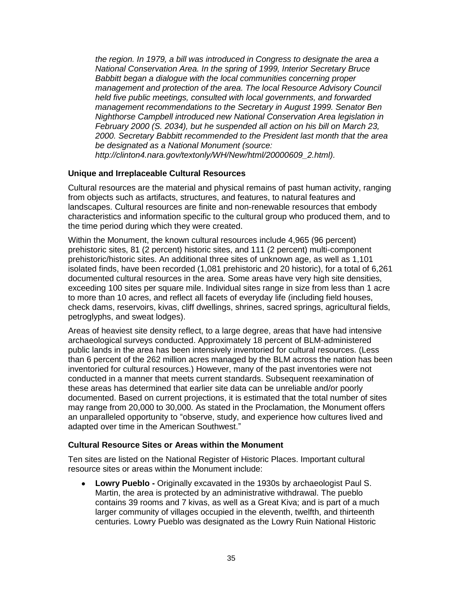*the region. In 1979, a bill was introduced in Congress to designate the area a National Conservation Area. In the spring of 1999, Interior Secretary Bruce Babbitt began a dialogue with the local communities concerning proper management and protection of the area. The local Resource Advisory Council held five public meetings, consulted with local governments, and forwarded management recommendations to the Secretary in August 1999. Senator Ben Nighthorse Campbell introduced new National Conservation Area legislation in February 2000 (S. 2034), but he suspended all action on his bill on March 23, 2000. Secretary Babbitt recommended to the President last month that the area be designated as a National Monument (source: http://clinton4.nara.gov/textonly/WH/New/html/20000609\_2.html).*

### **Unique and Irreplaceable Cultural Resources**

Cultural resources are the material and physical remains of past human activity, ranging from objects such as artifacts, structures, and features, to natural features and landscapes. Cultural resources are finite and non-renewable resources that embody characteristics and information specific to the cultural group who produced them, and to the time period during which they were created.

Within the Monument, the known cultural resources include 4,965 (96 percent) prehistoric sites, 81 (2 percent) historic sites, and 111 (2 percent) multi-component prehistoric/historic sites. An additional three sites of unknown age, as well as 1,101 isolated finds, have been recorded (1,081 prehistoric and 20 historic), for a total of 6,261 documented cultural resources in the area. Some areas have very high site densities, exceeding 100 sites per square mile. Individual sites range in size from less than 1 acre to more than 10 acres, and reflect all facets of everyday life (including field houses, check dams, reservoirs, kivas, cliff dwellings, shrines, sacred springs, agricultural fields, petroglyphs, and sweat lodges).

Areas of heaviest site density reflect, to a large degree, areas that have had intensive archaeological surveys conducted. Approximately 18 percent of BLM-administered public lands in the area has been intensively inventoried for cultural resources. (Less than 6 percent of the 262 million acres managed by the BLM across the nation has been inventoried for cultural resources.) However, many of the past inventories were not conducted in a manner that meets current standards. Subsequent reexamination of these areas has determined that earlier site data can be unreliable and/or poorly documented. Based on current projections, it is estimated that the total number of sites may range from 20,000 to 30,000. As stated in the Proclamation, the Monument offers an unparalleled opportunity to "observe, study, and experience how cultures lived and adapted over time in the American Southwest."

### **Cultural Resource Sites or Areas within the Monument**

Ten sites are listed on the National Register of Historic Places. Important cultural resource sites or areas within the Monument include:

**Lowry Pueblo -** Originally excavated in the 1930s by archaeologist Paul S.  $\bullet$ Martin, the area is protected by an administrative withdrawal. The pueblo contains 39 rooms and 7 kivas, as well as a Great Kiva; and is part of a much larger community of villages occupied in the eleventh, twelfth, and thirteenth centuries. Lowry Pueblo was designated as the Lowry Ruin National Historic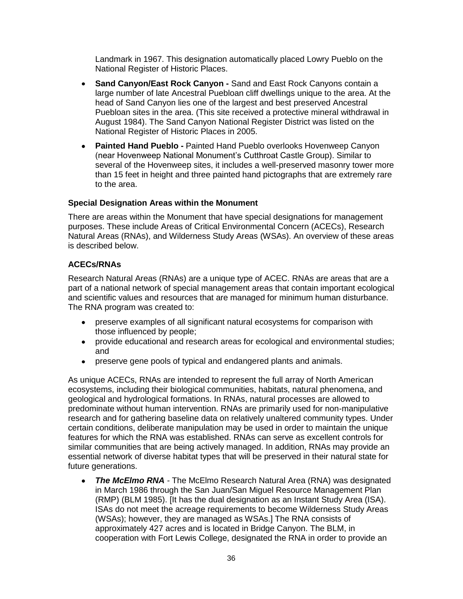Landmark in 1967. This designation automatically placed Lowry Pueblo on the National Register of Historic Places.

- **Sand Canyon/East Rock Canyon -** Sand and East Rock Canyons contain a large number of late Ancestral Puebloan cliff dwellings unique to the area. At the head of Sand Canyon lies one of the largest and best preserved Ancestral Puebloan sites in the area. (This site received a protective mineral withdrawal in August 1984). The Sand Canyon National Register District was listed on the National Register of Historic Places in 2005.
- **Painted Hand Pueblo -** Painted Hand Pueblo overlooks Hovenweep Canyon (near Hovenweep National Monument's Cutthroat Castle Group). Similar to several of the Hovenweep sites, it includes a well-preserved masonry tower more than 15 feet in height and three painted hand pictographs that are extremely rare to the area.

### **Special Designation Areas within the Monument**

There are areas within the Monument that have special designations for management purposes. These include Areas of Critical Environmental Concern (ACECs), Research Natural Areas (RNAs), and Wilderness Study Areas (WSAs). An overview of these areas is described below.

### **ACECs/RNAs**

Research Natural Areas (RNAs) are a unique type of ACEC. RNAs are areas that are a part of a national network of special management areas that contain important ecological and scientific values and resources that are managed for minimum human disturbance. The RNA program was created to:

- preserve examples of all significant natural ecosystems for comparison with those influenced by people;
- provide educational and research areas for ecological and environmental studies; and
- preserve gene pools of typical and endangered plants and animals.

As unique ACECs, RNAs are intended to represent the full array of North American ecosystems, including their biological communities, habitats, natural phenomena, and geological and hydrological formations. In RNAs, natural processes are allowed to predominate without human intervention. RNAs are primarily used for non-manipulative research and for gathering baseline data on relatively unaltered community types. Under certain conditions, deliberate manipulation may be used in order to maintain the unique features for which the RNA was established. RNAs can serve as excellent controls for similar communities that are being actively managed. In addition, RNAs may provide an essential network of diverse habitat types that will be preserved in their natural state for future generations.

*The McElmo RNA -* The McElmo Research Natural Area (RNA) was designated  $\bullet$ in March 1986 through the San Juan/San Miguel Resource Management Plan (RMP) (BLM 1985). [It has the dual designation as an Instant Study Area (ISA). ISAs do not meet the acreage requirements to become Wilderness Study Areas (WSAs); however, they are managed as WSAs.] The RNA consists of approximately 427 acres and is located in Bridge Canyon. The BLM, in cooperation with Fort Lewis College, designated the RNA in order to provide an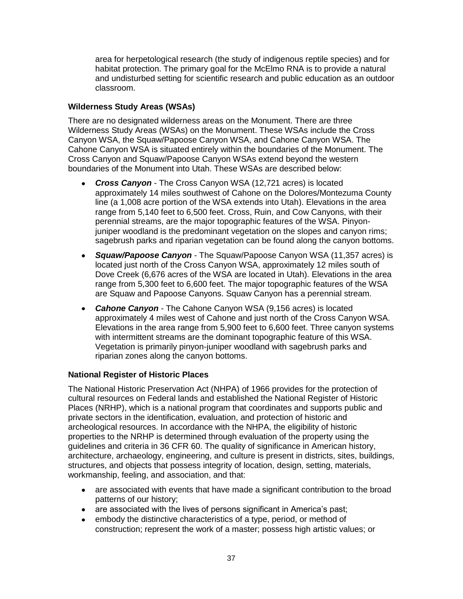area for herpetological research (the study of indigenous reptile species) and for habitat protection. The primary goal for the McElmo RNA is to provide a natural and undisturbed setting for scientific research and public education as an outdoor classroom.

### **Wilderness Study Areas (WSAs)**

There are no designated wilderness areas on the Monument. There are three Wilderness Study Areas (WSAs) on the Monument. These WSAs include the Cross Canyon WSA, the Squaw/Papoose Canyon WSA, and Cahone Canyon WSA. The Cahone Canyon WSA is situated entirely within the boundaries of the Monument. The Cross Canyon and Squaw/Papoose Canyon WSAs extend beyond the western boundaries of the Monument into Utah. These WSAs are described below:

- *Cross Canyon* The Cross Canyon WSA (12,721 acres) is located approximately 14 miles southwest of Cahone on the Dolores/Montezuma County line (a 1,008 acre portion of the WSA extends into Utah). Elevations in the area range from 5,140 feet to 6,500 feet. Cross, Ruin, and Cow Canyons, with their perennial streams, are the major topographic features of the WSA. Pinyonjuniper woodland is the predominant vegetation on the slopes and canyon rims; sagebrush parks and riparian vegetation can be found along the canyon bottoms.
- *Squaw/Papoose Canyon* The Squaw/Papoose Canyon WSA (11,357 acres) is located just north of the Cross Canyon WSA, approximately 12 miles south of Dove Creek (6,676 acres of the WSA are located in Utah). Elevations in the area range from 5,300 feet to 6,600 feet. The major topographic features of the WSA are Squaw and Papoose Canyons. Squaw Canyon has a perennial stream.
- *Cahone Canyon* The Cahone Canyon WSA (9,156 acres) is located approximately 4 miles west of Cahone and just north of the Cross Canyon WSA. Elevations in the area range from 5,900 feet to 6,600 feet. Three canyon systems with intermittent streams are the dominant topographic feature of this WSA. Vegetation is primarily pinyon-juniper woodland with sagebrush parks and riparian zones along the canyon bottoms.

### **National Register of Historic Places**

The National Historic Preservation Act (NHPA) of 1966 provides for the protection of cultural resources on Federal lands and established the National Register of Historic Places (NRHP), which is a national program that coordinates and supports public and private sectors in the identification, evaluation, and protection of historic and archeological resources. In accordance with the NHPA, the eligibility of historic properties to the NRHP is determined through evaluation of the property using the guidelines and criteria in 36 CFR 60. The quality of significance in American history, architecture, archaeology, engineering, and culture is present in districts, sites, buildings, structures, and objects that possess integrity of location, design, setting, materials, workmanship, feeling, and association, and that:

- are associated with events that have made a significant contribution to the broad patterns of our history;
- are associated with the lives of persons significant in America's past;
- embody the distinctive characteristics of a type, period, or method of construction; represent the work of a master; possess high artistic values; or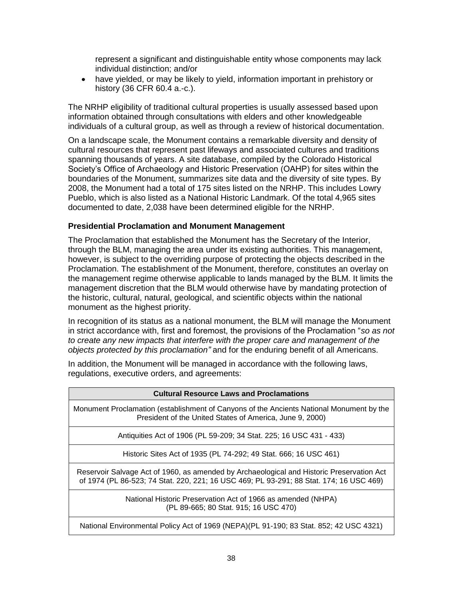represent a significant and distinguishable entity whose components may lack individual distinction; and/or

have yielded, or may be likely to yield, information important in prehistory or history (36 CFR 60.4 a.-c.).

The NRHP eligibility of traditional cultural properties is usually assessed based upon information obtained through consultations with elders and other knowledgeable individuals of a cultural group, as well as through a review of historical documentation.

On a landscape scale, the Monument contains a remarkable diversity and density of cultural resources that represent past lifeways and associated cultures and traditions spanning thousands of years. A site database, compiled by the Colorado Historical Society's Office of Archaeology and Historic Preservation (OAHP) for sites within the boundaries of the Monument, summarizes site data and the diversity of site types. By 2008, the Monument had a total of 175 sites listed on the NRHP. This includes Lowry Pueblo, which is also listed as a National Historic Landmark. Of the total 4,965 sites documented to date, 2,038 have been determined eligible for the NRHP.

### **Presidential Proclamation and Monument Management**

The Proclamation that established the Monument has the Secretary of the Interior, through the BLM, managing the area under its existing authorities. This management, however, is subject to the overriding purpose of protecting the objects described in the Proclamation. The establishment of the Monument, therefore, constitutes an overlay on the management regime otherwise applicable to lands managed by the BLM. It limits the management discretion that the BLM would otherwise have by mandating protection of the historic, cultural, natural, geological, and scientific objects within the national monument as the highest priority.

In recognition of its status as a national monument, the BLM will manage the Monument in strict accordance with, first and foremost, the provisions of the Proclamation "so as not *to create any new impacts that interfere with the proper care and management of the objects protected by this proclamation"* and for the enduring benefit of all Americans.

In addition, the Monument will be managed in accordance with the following laws, regulations, executive orders, and agreements:

| <b>Cultural Resource Laws and Proclamations</b>                                                                                                                                      |  |  |
|--------------------------------------------------------------------------------------------------------------------------------------------------------------------------------------|--|--|
| Monument Proclamation (establishment of Canyons of the Ancients National Monument by the<br>President of the United States of America, June 9, 2000)                                 |  |  |
| Antiquities Act of 1906 (PL 59-209; 34 Stat. 225; 16 USC 431 - 433)                                                                                                                  |  |  |
| Historic Sites Act of 1935 (PL 74-292; 49 Stat. 666; 16 USC 461)                                                                                                                     |  |  |
| Reservoir Salvage Act of 1960, as amended by Archaeological and Historic Preservation Act<br>of 1974 (PL 86-523; 74 Stat. 220, 221; 16 USC 469; PL 93-291; 88 Stat. 174; 16 USC 469) |  |  |
| National Historic Preservation Act of 1966 as amended (NHPA)<br>(PL 89-665; 80 Stat. 915; 16 USC 470)                                                                                |  |  |
| National Environmental Policy Act of 1969 (NEPA) (PL 91-190; 83 Stat. 852; 42 USC 4321)                                                                                              |  |  |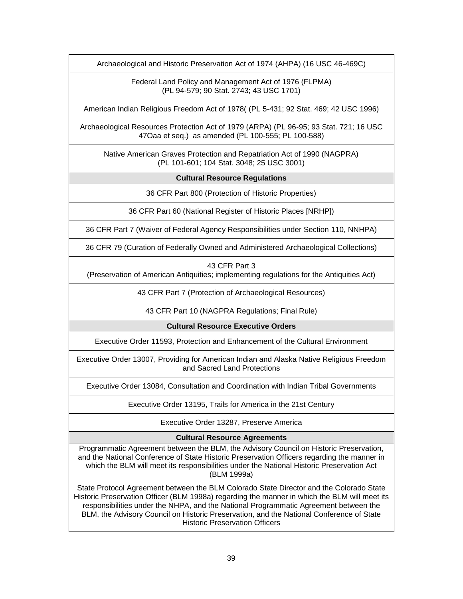Archaeological and Historic Preservation Act of 1974 (AHPA) (16 USC 46-469C)

Federal Land Policy and Management Act of 1976 (FLPMA) (PL 94-579; 90 Stat. 2743; 43 USC 1701)

American Indian Religious Freedom Act of 1978( (PL 5-431; 92 Stat. 469; 42 USC 1996)

Archaeological Resources Protection Act of 1979 (ARPA) (PL 96-95; 93 Stat. 721; 16 USC 47Oaa et seq.) as amended (PL 100-555; PL 100-588)

Native American Graves Protection and Repatriation Act of 1990 (NAGPRA) (PL 101-601; 104 Stat. 3048; 25 USC 3001)

### **Cultural Resource Regulations**

36 CFR Part 800 (Protection of Historic Properties)

36 CFR Part 60 (National Register of Historic Places [NRHP])

36 CFR Part 7 (Waiver of Federal Agency Responsibilities under Section 110, NNHPA)

36 CFR 79 (Curation of Federally Owned and Administered Archaeological Collections)

43 CFR Part 3

(Preservation of American Antiquities; implementing regulations for the Antiquities Act)

43 CFR Part 7 (Protection of Archaeological Resources)

43 CFR Part 10 (NAGPRA Regulations; Final Rule)

**Cultural Resource Executive Orders**

Executive Order 11593, Protection and Enhancement of the Cultural Environment

Executive Order 13007, Providing for American Indian and Alaska Native Religious Freedom and Sacred Land Protections

Executive Order 13084, Consultation and Coordination with Indian Tribal Governments

Executive Order 13195, Trails for America in the 21st Century

Executive Order 13287, Preserve America

### **Cultural Resource Agreements**

Programmatic Agreement between the BLM, the Advisory Council on Historic Preservation, and the National Conference of State Historic Preservation Officers regarding the manner in which the BLM will meet its responsibilities under the National Historic Preservation Act (BLM 1999a)

State Protocol Agreement between the BLM Colorado State Director and the Colorado State Historic Preservation Officer (BLM 1998a) regarding the manner in which the BLM will meet its responsibilities under the NHPA, and the National Programmatic Agreement between the BLM, the Advisory Council on Historic Preservation, and the National Conference of State Historic Preservation Officers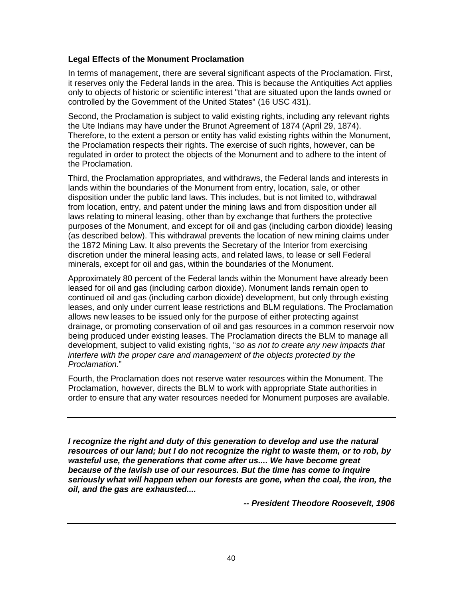### **Legal Effects of the Monument Proclamation**

In terms of management, there are several significant aspects of the Proclamation. First, it reserves only the Federal lands in the area. This is because the Antiquities Act applies only to objects of historic or scientific interest "that are situated upon the lands owned or controlled by the Government of the United States" (16 USC 431).

Second, the Proclamation is subject to valid existing rights, including any relevant rights the Ute Indians may have under the Brunot Agreement of 1874 (April 29, 1874). Therefore, to the extent a person or entity has valid existing rights within the Monument, the Proclamation respects their rights. The exercise of such rights, however, can be regulated in order to protect the objects of the Monument and to adhere to the intent of the Proclamation.

Third, the Proclamation appropriates, and withdraws, the Federal lands and interests in lands within the boundaries of the Monument from entry, location, sale, or other disposition under the public land laws. This includes, but is not limited to, withdrawal from location, entry, and patent under the mining laws and from disposition under all laws relating to mineral leasing, other than by exchange that furthers the protective purposes of the Monument, and except for oil and gas (including carbon dioxide) leasing (as described below). This withdrawal prevents the location of new mining claims under the 1872 Mining Law. It also prevents the Secretary of the Interior from exercising discretion under the mineral leasing acts, and related laws, to lease or sell Federal minerals, except for oil and gas, within the boundaries of the Monument.

Approximately 80 percent of the Federal lands within the Monument have already been leased for oil and gas (including carbon dioxide). Monument lands remain open to continued oil and gas (including carbon dioxide) development, but only through existing leases, and only under current lease restrictions and BLM regulations. The Proclamation allows new leases to be issued only for the purpose of either protecting against drainage, or promoting conservation of oil and gas resources in a common reservoir now being produced under existing leases. The Proclamation directs the BLM to manage all development, subject to valid existing rights, "so as not to create any new impacts that *interfere with the proper care and management of the objects protected by the Proclamation*.‖

Fourth, the Proclamation does not reserve water resources within the Monument. The Proclamation, however, directs the BLM to work with appropriate State authorities in order to ensure that any water resources needed for Monument purposes are available.

*I* recognize the right and duty of this generation to develop and use the natural *resources of our land; but I do not recognize the right to waste them, or to rob, by wasteful use, the generations that come after us.... We have become great because of the lavish use of our resources. But the time has come to inquire seriously what will happen when our forests are gone, when the coal, the iron, the oil, and the gas are exhausted....*

*-- President Theodore Roosevelt, 1906*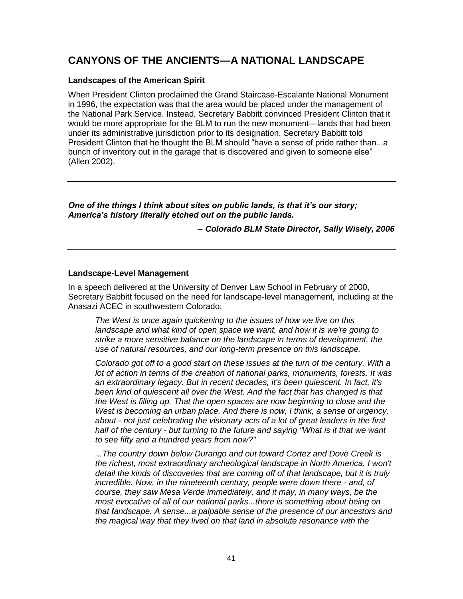# **CANYONS OF THE ANCIENTS—A NATIONAL LANDSCAPE**

### **Landscapes of the American Spirit**

When President Clinton proclaimed the Grand Staircase-Escalante National Monument in 1996, the expectation was that the area would be placed under the management of the National Park Service. Instead, Secretary Babbitt convinced President Clinton that it would be more appropriate for the BLM to run the new monument—lands that had been under its administrative jurisdiction prior to its designation. Secretary Babbitt told President Clinton that he thought the BLM should "have a sense of pride rather than...a bunch of inventory out in the garage that is discovered and given to someone else" (Allen 2002).

*One of the things I think about sites on public lands, is that it's our story; America's history literally etched out on the public lands.*

*-- Colorado BLM State Director, Sally Wisely, 2006*

### **Landscape-Level Management**

In a speech delivered at the University of Denver Law School in February of 2000, Secretary Babbitt focused on the need for landscape-level management, including at the Anasazi ACEC in southwestern Colorado:

*The West is once again quickening to the issues of how we live on this landscape and what kind of open space we want, and how it is we're going to strike a more sensitive balance on the landscape in terms of development, the use of natural resources, and our long-term presence on this landscape.* 

*Colorado got off to a good start on these issues at the turn of the century. With a lot of action in terms of the creation of national parks, monuments, forests. It was an extraordinary legacy. But in recent decades, it's been quiescent. In fact, it's*  been kind of quiescent all over the West. And the fact that has changed is that *the West is filling up. That the open spaces are now beginning to close and the West is becoming an urban place. And there is now, I think, a sense of urgency, about - not just celebrating the visionary acts of a lot of great leaders in the first half of the century - but turning to the future and saying "What is it that we want to see fifty and a hundred years from now?"*

*...The country down below Durango and out toward Cortez and Dove Creek is the richest, most extraordinary archeological landscape in North America. I won't detail the kinds of discoveries that are coming off of that landscape, but it is truly incredible. Now, in the nineteenth century, people were down there - and, of course, they saw Mesa Verde immediately, and it may, in many ways, be the most evocative of all of our national parks...there is something about being on that landscape. A sense...a palpable sense of the presence of our ancestors and the magical way that they lived on that land in absolute resonance with the*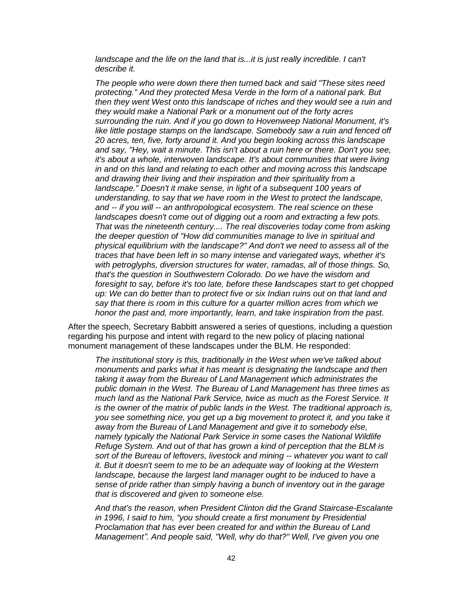*landscape and the life on the land that is...it is just really incredible. I can't describe it.* 

*The people who were down there then turned back and said "These sites need protecting." And they protected Mesa Verde in the form of a national park. But then they went West onto this landscape of riches and they would see a ruin and they would make a National Park or a monument out of the forty acres surrounding the ruin. And if you go down to Hovenweep National Monument, it's*  like little postage stamps on the landscape. Somebody saw a ruin and fenced off *20 acres, ten, five, forty around it. And you begin looking across this landscape and say, "Hey, wait a minute. This isn't about a ruin here or there. Don't you see, it's about a whole, interwoven landscape. It's about communities that were living in and on this land and relating to each other and moving across this landscape and drawing their living and their inspiration and their spirituality from a landscape." Doesn't it make sense, in light of a subsequent 100 years of understanding, to say that we have room in the West to protect the landscape, and -- if you will -- an anthropological ecosystem. The real science on these landscapes doesn't come out of digging out a room and extracting a few pots. That was the nineteenth century.... The real discoveries today come from asking the deeper question of "How did communities manage to live in spiritual and physical equilibrium with the landscape?" And don't we need to assess all of the traces that have been left in so many intense and variegated ways, whether it's with petroglyphs, diversion structures for water, ramadas, all of those things. So, that's the question in Southwestern Colorado. Do we have the wisdom and foresight to say, before it's too late, before these landscapes start to get chopped*  up: We can do better than to protect five or six Indian ruins out on that land and *say that there is room in this culture for a quarter million acres from which we honor the past and, more importantly, learn, and take inspiration from the past.* 

After the speech, Secretary Babbitt answered a series of questions, including a question regarding his purpose and intent with regard to the new policy of placing national monument management of these landscapes under the BLM. He responded:

*The institutional story is this, traditionally in the West when we've talked about monuments and parks what it has meant is designating the landscape and then taking it away from the Bureau of Land Management which administrates the public domain in the West. The Bureau of Land Management has three times as much land as the National Park Service, twice as much as the Forest Service. It is the owner of the matrix of public lands in the West. The traditional approach is, you see something nice, you get up a big movement to protect it, and you take it away from the Bureau of Land Management and give it to somebody else, namely typically the National Park Service in some cases the National Wildlife Refuge System. And out of that has grown a kind of perception that the BLM is sort of the Bureau of leftovers, livestock and mining -- whatever you want to call it. But it doesn't seem to me to be an adequate way of looking at the Western*  landscape, because the largest land manager ought to be induced to have a *sense of pride rather than simply having a bunch of inventory out in the garage that is discovered and given to someone else.*

*And that's the reason, when President Clinton did the Grand Staircase-Escalante in 1996, I said to him, "you should create a first monument by Presidential Proclamation that has ever been created for and within the Bureau of Land Management". And people said, "Well, why do that?" Well, I've given you one*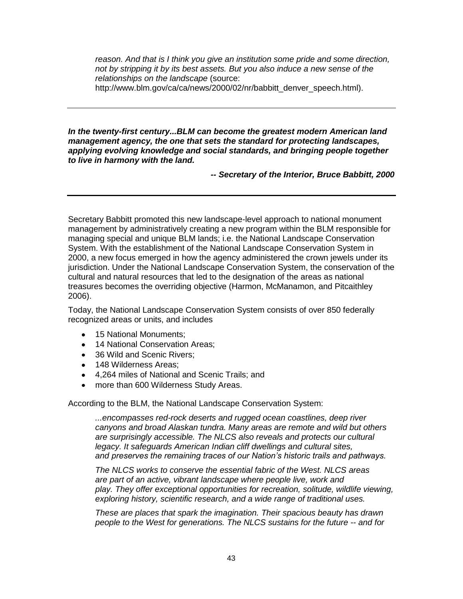*reason. And that is I think you give an institution some pride and some direction, not by stripping it by its best assets. But you also induce a new sense of the relationships on the landscape* (source:

http://www.blm.gov/ca/ca/news/2000/02/nr/babbitt\_denver\_speech.html).

*In the twenty-first century...BLM can become the greatest modern American land management agency, the one that sets the standard for protecting landscapes, applying evolving knowledge and social standards, and bringing people together to live in harmony with the land.*

*-- Secretary of the Interior, Bruce Babbitt, 2000*

Secretary Babbitt promoted this new landscape-level approach to national monument management by administratively creating a new program within the BLM responsible for managing special and unique BLM lands; i.e. the National Landscape Conservation System. With the establishment of the National Landscape Conservation System in 2000, a new focus emerged in how the agency administered the crown jewels under its jurisdiction. Under the National Landscape Conservation System, the conservation of the cultural and natural resources that led to the designation of the areas as national treasures becomes the overriding objective (Harmon, McManamon, and Pitcaithley 2006).

Today, the National Landscape Conservation System consists of over 850 federally recognized areas or units, and includes

- 15 National Monuments:
- 14 National Conservation Areas;
- 36 Wild and Scenic Rivers:
- 148 Wilderness Areas:
- 4,264 miles of National and Scenic Trails; and
- more than 600 Wilderness Study Areas.

According to the BLM, the National Landscape Conservation System:

*...encompasses red-rock deserts and rugged ocean coastlines, deep river canyons and broad Alaskan tundra. Many areas are remote and wild but others are surprisingly accessible. The NLCS also reveals and protects our cultural legacy. It safeguards American Indian cliff dwellings and cultural sites, and preserves the remaining traces of our Nation's historic trails and pathways.* 

*The NLCS works to conserve the essential fabric of the West. NLCS areas are part of an active, vibrant landscape where people live, work and play. They offer exceptional opportunities for recreation, solitude, wildlife viewing, exploring history, scientific research, and a wide range of traditional uses.*

*These are places that spark the imagination. Their spacious beauty has drawn people to the West for generations. The NLCS sustains for the future -- and for*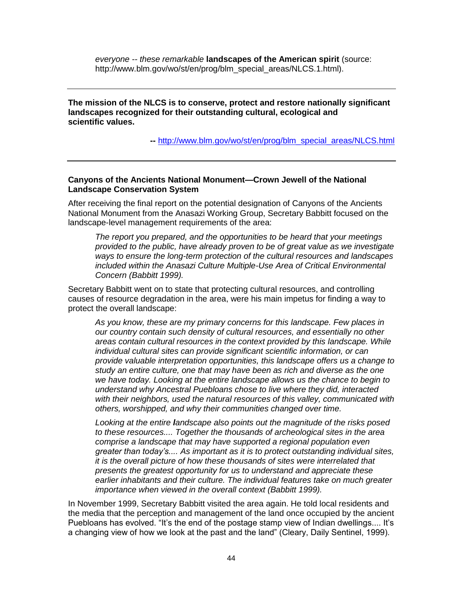*everyone -- these remarkable* **landscapes of the American spirit** (source: http://www.blm.gov/wo/st/en/prog/blm\_special\_areas/NLCS.1.html).

**The mission of the NLCS is to conserve, protect and restore nationally significant landscapes recognized for their outstanding cultural, ecological and scientific values.** 

**--** [http://www.blm.gov/wo/st/en/prog/blm\\_special\\_areas/NLCS.html](http://www.blm.gov/wo/st/en/prog/blm_special_areas/NLCS.html)

### **Canyons of the Ancients National Monument—Crown Jewell of the National Landscape Conservation System**

After receiving the final report on the potential designation of Canyons of the Ancients National Monument from the Anasazi Working Group, Secretary Babbitt focused on the landscape-level management requirements of the area:

*The report you prepared, and the opportunities to be heard that your meetings provided to the public, have already proven to be of great value as we investigate ways to ensure the long-term protection of the cultural resources and landscapes included within the Anasazi Culture Multiple-Use Area of Critical Environmental Concern (Babbitt 1999).*

Secretary Babbitt went on to state that protecting cultural resources, and controlling causes of resource degradation in the area, were his main impetus for finding a way to protect the overall landscape:

*As you know, these are my primary concerns for this landscape. Few places in our country contain such density of cultural resources, and essentially no other areas contain cultural resources in the context provided by this landscape. While individual cultural sites can provide significant scientific information, or can provide valuable interpretation opportunities, this landscape offers us a change to study an entire culture, one that may have been as rich and diverse as the one we have today. Looking at the entire landscape allows us the chance to begin to understand why Ancestral Puebloans chose to live where they did, interacted with their neighbors, used the natural resources of this valley, communicated with others, worshipped, and why their communities changed over time.* 

*Looking at the entire landscape also points out the magnitude of the risks posed to these resources.... Together the thousands of archeological sites in the area comprise a landscape that may have supported a regional population even greater than today's.... As important as it is to protect outstanding individual sites, it is the overall picture of how these thousands of sites were interrelated that presents the greatest opportunity for us to understand and appreciate these earlier inhabitants and their culture. The individual features take on much greater importance when viewed in the overall context (Babbitt 1999).*

In November 1999, Secretary Babbitt visited the area again. He told local residents and the media that the perception and management of the land once occupied by the ancient Puebloans has evolved. "It's the end of the postage stamp view of Indian dwellings.... It's a changing view of how we look at the past and the land" (Cleary, Daily Sentinel, 1999).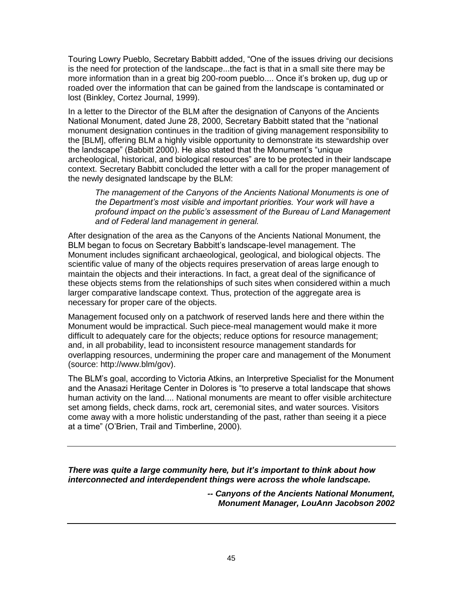Touring Lowry Pueblo, Secretary Babbitt added, "One of the issues driving our decisions is the need for protection of the landscape...the fact is that in a small site there may be more information than in a great big 200-room pueblo.... Once it's broken up, dug up or roaded over the information that can be gained from the landscape is contaminated or lost (Binkley, Cortez Journal, 1999).

In a letter to the Director of the BLM after the designation of Canyons of the Ancients National Monument, dated June 28, 2000, Secretary Babbitt stated that the "national monument designation continues in the tradition of giving management responsibility to the [BLM], offering BLM a highly visible opportunity to demonstrate its stewardship over the landscape" (Babbitt 2000). He also stated that the Monument's "unique archeological, historical, and biological resources‖ are to be protected in their landscape context. Secretary Babbitt concluded the letter with a call for the proper management of the newly designated landscape by the BLM:

*The management of the Canyons of the Ancients National Monuments is one of the Department's most visible and important priorities. Your work will have a profound impact on the public's assessment of the Bureau of Land Management and of Federal land management in general.* 

After designation of the area as the Canyons of the Ancients National Monument, the BLM began to focus on Secretary Babbitt's landscape-level management. The Monument includes significant archaeological, geological, and biological objects. The scientific value of many of the objects requires preservation of areas large enough to maintain the objects and their interactions. In fact, a great deal of the significance of these objects stems from the relationships of such sites when considered within a much larger comparative landscape context. Thus, protection of the aggregate area is necessary for proper care of the objects.

Management focused only on a patchwork of reserved lands here and there within the Monument would be impractical. Such piece-meal management would make it more difficult to adequately care for the objects; reduce options for resource management; and, in all probability, lead to inconsistent resource management standards for overlapping resources, undermining the proper care and management of the Monument (source: http://www.blm/gov).

The BLM's goal, according to Victoria Atkins, an Interpretive Specialist for the Monument and the Anasazi Heritage Center in Dolores is "to preserve a total landscape that shows human activity on the land.... National monuments are meant to offer visible architecture set among fields, check dams, rock art, ceremonial sites, and water sources. Visitors come away with a more holistic understanding of the past, rather than seeing it a piece at a time" (O'Brien, Trail and Timberline, 2000).

*There was quite a large community here, but it's important to think about how interconnected and interdependent things were across the whole landscape.*

> *-- Canyons of the Ancients National Monument, Monument Manager, LouAnn Jacobson 2002*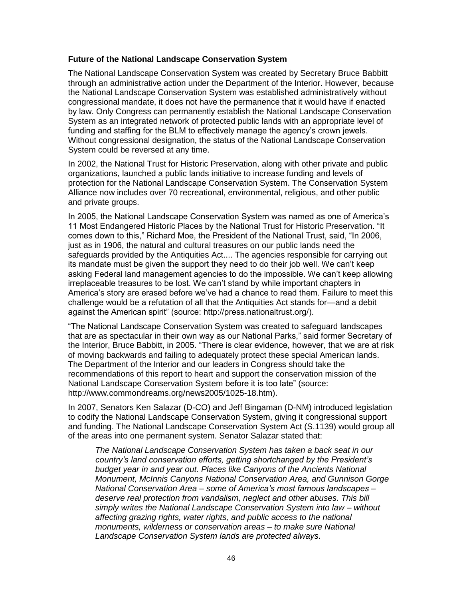### **Future of the National Landscape Conservation System**

The National Landscape Conservation System was created by Secretary Bruce Babbitt through an administrative action under the Department of the Interior. However, because the National Landscape Conservation System was established administratively without congressional mandate, it does not have the permanence that it would have if enacted by law. Only Congress can permanently establish the National Landscape Conservation System as an integrated network of protected public lands with an appropriate level of funding and staffing for the BLM to effectively manage the agency's crown jewels. Without congressional designation, the status of the National Landscape Conservation System could be reversed at any time.

In 2002, the National Trust for Historic Preservation, along with other private and public organizations, launched a public lands initiative to increase funding and levels of protection for the National Landscape Conservation System. The Conservation System Alliance now includes over 70 recreational, environmental, religious, and other public and private groups.

In 2005, the National Landscape Conservation System was named as one of America's 11 Most Endangered Historic Places by the National Trust for Historic Preservation. "It comes down to this," Richard Moe, the President of the National Trust, said, "In 2006, just as in 1906, the natural and cultural treasures on our public lands need the safeguards provided by the Antiquities Act.... The agencies responsible for carrying out its mandate must be given the support they need to do their job well. We can't keep asking Federal land management agencies to do the impossible. We can't keep allowing irreplaceable treasures to be lost. We can't stand by while important chapters in America's story are erased before we've had a chance to read them. Failure to meet this challenge would be a refutation of all that the Antiquities Act stands for—and a debit against the American spirit" (source: http://press.nationaltrust.org/).

―The National Landscape Conservation System was created to safeguard landscapes that are as spectacular in their own way as our National Parks," said former Secretary of the Interior, Bruce Babbitt, in 2005. "There is clear evidence, however, that we are at risk of moving backwards and failing to adequately protect these special American lands. The Department of the Interior and our leaders in Congress should take the recommendations of this report to heart and support the conservation mission of the National Landscape Conservation System before it is too late" (source: http://www.commondreams.org/news2005/1025-18.htm).

In 2007, Senators Ken Salazar (D-CO) and Jeff Bingaman (D-NM) introduced legislation to codify the National Landscape Conservation System, giving it congressional support and funding. The National Landscape Conservation System Act (S.1139) would group all of the areas into one permanent system. Senator Salazar stated that:

*The National Landscape Conservation System has taken a back seat in our country's land conservation efforts, getting shortchanged by the President's budget year in and year out. Places like Canyons of the Ancients National Monument, McInnis Canyons National Conservation Area, and Gunnison Gorge National Conservation Area – some of America's most famous landscapes – deserve real protection from vandalism, neglect and other abuses. This bill simply writes the National Landscape Conservation System into law – without affecting grazing rights, water rights, and public access to the national monuments, wilderness or conservation areas – to make sure National Landscape Conservation System lands are protected always.*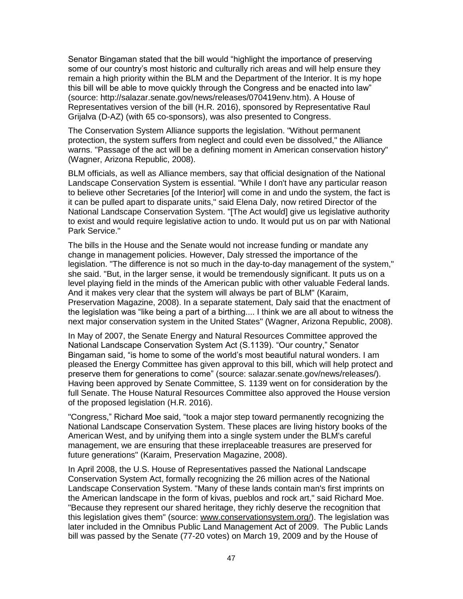Senator Bingaman stated that the bill would "highlight the importance of preserving some of our country's most historic and culturally rich areas and will help ensure they remain a high priority within the BLM and the Department of the Interior. It is my hope this bill will be able to move quickly through the Congress and be enacted into law" (source: http://salazar.senate.gov/news/releases/070419env.htm). A House of Representatives version of the bill (H.R. 2016), sponsored by Representative Raul Grijalva (D-AZ) (with 65 co-sponsors), was also presented to Congress.

The Conservation System Alliance supports the legislation. "Without permanent protection, the system suffers from neglect and could even be dissolved," the Alliance warns. "Passage of the act will be a defining moment in American conservation history" (Wagner, Arizona Republic, 2008).

BLM officials, as well as Alliance members, say that official designation of the National Landscape Conservation System is essential. "While I don't have any particular reason to believe other Secretaries [of the Interior] will come in and undo the system, the fact is it can be pulled apart to disparate units," said Elena Daly, now retired Director of the National Landscape Conservation System. "[The Act would] give us legislative authority to exist and would require legislative action to undo. It would put us on par with National Park Service."

The bills in the House and the Senate would not increase funding or mandate any change in management policies. However, Daly stressed the importance of the legislation. "The difference is not so much in the day-to-day management of the system," she said. "But, in the larger sense, it would be tremendously significant. It puts us on a level playing field in the minds of the American public with other valuable Federal lands. And it makes very clear that the system will always be part of BLM" (Karaim, Preservation Magazine, 2008). In a separate statement, Daly said that the enactment of the legislation was "like being a part of a birthing.... I think we are all about to witness the next major conservation system in the United States" (Wagner, Arizona Republic, 2008).

In May of 2007, the Senate Energy and Natural Resources Committee approved the National Landscape Conservation System Act (S.1139). "Our country," Senator Bingaman said, "is home to some of the world's most beautiful natural wonders. I am pleased the Energy Committee has given approval to this bill, which will help protect and preserve them for generations to come" (source: salazar.senate.gov/news/releases/). Having been approved by Senate Committee, S. 1139 went on for consideration by the full Senate. The House Natural Resources Committee also approved the House version of the proposed legislation (H.R. 2016).

"Congress," Richard Moe said, "took a major step toward permanently recognizing the National Landscape Conservation System. These places are living history books of the American West, and by unifying them into a single system under the BLM's careful management, we are ensuring that these irreplaceable treasures are preserved for future generations" (Karaim, Preservation Magazine, 2008).

In April 2008, the U.S. House of Representatives passed the National Landscape Conservation System Act, formally recognizing the 26 million acres of the National Landscape Conservation System. "Many of these lands contain man's first imprints on the American landscape in the form of kivas, pueblos and rock art," said Richard Moe. "Because they represent our shared heritage, they richly deserve the recognition that this legislation gives them" (source: www.conservationsystem.org/). The legislation was later included in the Omnibus Public Land Management Act of 2009. The Public Lands bill was passed by the Senate (77-20 votes) on March 19, 2009 and by the House of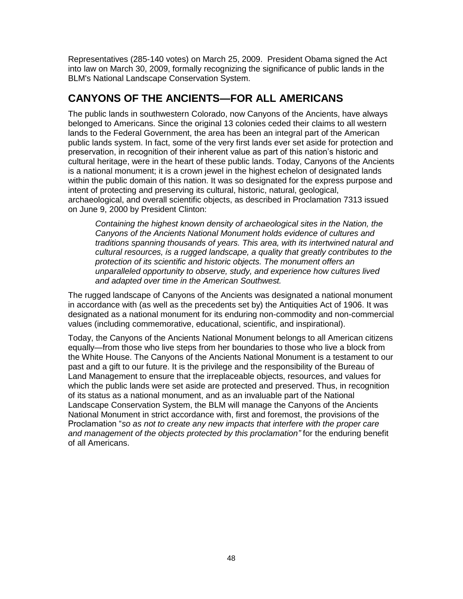Representatives (285-140 votes) on March 25, 2009. President Obama signed the Act into law on March 30, 2009, formally recognizing the significance of public lands in the BLM's National Landscape Conservation System.

# **CANYONS OF THE ANCIENTS—FOR ALL AMERICANS**

The public lands in southwestern Colorado, now Canyons of the Ancients, have always belonged to Americans. Since the original 13 colonies ceded their claims to all western lands to the Federal Government, the area has been an integral part of the American public lands system. In fact, some of the very first lands ever set aside for protection and preservation, in recognition of their inherent value as part of this nation's historic and cultural heritage, were in the heart of these public lands. Today, Canyons of the Ancients is a national monument; it is a crown jewel in the highest echelon of designated lands within the public domain of this nation. It was so designated for the express purpose and intent of protecting and preserving its cultural, historic, natural, geological, archaeological, and overall scientific objects, as described in Proclamation 7313 issued on June 9, 2000 by President Clinton:

*Containing the highest known density of archaeological sites in the Nation, the Canyons of the Ancients National Monument holds evidence of cultures and traditions spanning thousands of years. This area, with its intertwined natural and cultural resources, is a rugged landscape, a quality that greatly contributes to the protection of its scientific and historic objects. The monument offers an unparalleled opportunity to observe, study, and experience how cultures lived and adapted over time in the American Southwest.* 

The rugged landscape of Canyons of the Ancients was designated a national monument in accordance with (as well as the precedents set by) the Antiquities Act of 1906. It was designated as a national monument for its enduring non-commodity and non-commercial values (including commemorative, educational, scientific, and inspirational).

Today, the Canyons of the Ancients National Monument belongs to all American citizens equally—from those who live steps from her boundaries to those who live a block from the White House. The Canyons of the Ancients National Monument is a testament to our past and a gift to our future. It is the privilege and the responsibility of the Bureau of Land Management to ensure that the irreplaceable objects, resources, and values for which the public lands were set aside are protected and preserved. Thus, in recognition of its status as a national monument, and as an invaluable part of the National Landscape Conservation System, the BLM will manage the Canyons of the Ancients National Monument in strict accordance with, first and foremost, the provisions of the Proclamation "so as not to create any new impacts that interfere with the proper care *and management of the objects protected by this proclamation"* for the enduring benefit of all Americans.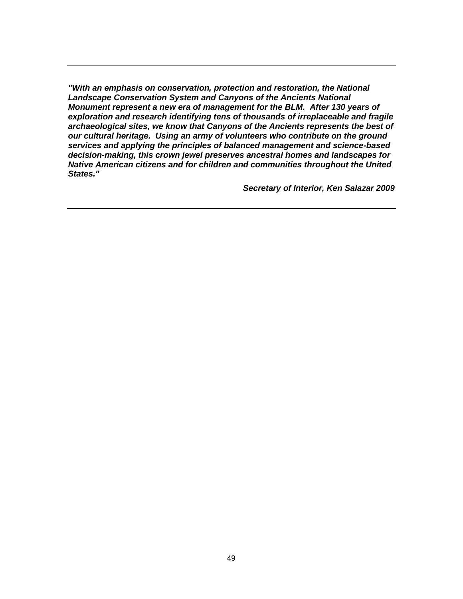*"With an emphasis on conservation, protection and restoration, the National Landscape Conservation System and Canyons of the Ancients National Monument represent a new era of management for the BLM. After 130 years of exploration and research identifying tens of thousands of irreplaceable and fragile archaeological sites, we know that Canyons of the Ancients represents the best of our cultural heritage. Using an army of volunteers who contribute on the ground services and applying the principles of balanced management and science-based decision-making, this crown jewel preserves ancestral homes and landscapes for Native American citizens and for children and communities throughout the United States."*

*Secretary of Interior, Ken Salazar 2009*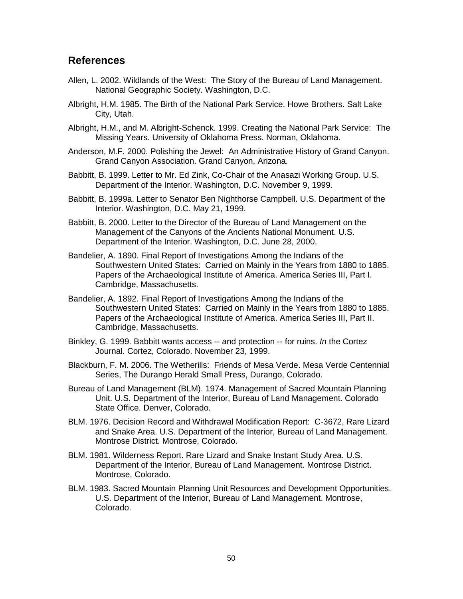# **References**

- Allen, L. 2002. Wildlands of the West: The Story of the Bureau of Land Management. National Geographic Society. Washington, D.C.
- Albright, H.M. 1985. The Birth of the National Park Service. Howe Brothers. Salt Lake City, Utah.
- Albright, H.M., and M. Albright-Schenck. 1999. Creating the National Park Service: The Missing Years. University of Oklahoma Press. Norman, Oklahoma.
- Anderson, M.F. 2000. Polishing the Jewel: An Administrative History of Grand Canyon. Grand Canyon Association. Grand Canyon, Arizona.
- Babbitt, B. 1999. Letter to Mr. Ed Zink, Co-Chair of the Anasazi Working Group. U.S. Department of the Interior. Washington, D.C. November 9, 1999.
- Babbitt, B. 1999a. Letter to Senator Ben Nighthorse Campbell. U.S. Department of the Interior. Washington, D.C. May 21, 1999.
- Babbitt, B. 2000. Letter to the Director of the Bureau of Land Management on the Management of the Canyons of the Ancients National Monument. U.S. Department of the Interior. Washington, D.C. June 28, 2000.
- Bandelier, A. 1890. Final Report of Investigations Among the Indians of the Southwestern United States: Carried on Mainly in the Years from 1880 to 1885. Papers of the Archaeological Institute of America. America Series III, Part I. Cambridge, Massachusetts.
- Bandelier, A. 1892. Final Report of Investigations Among the Indians of the Southwestern United States: Carried on Mainly in the Years from 1880 to 1885. Papers of the Archaeological Institute of America. America Series III, Part II. Cambridge, Massachusetts.
- Binkley, G. 1999. Babbitt wants access -- and protection -- for ruins. *In* the Cortez Journal. Cortez, Colorado. November 23, 1999.
- Blackburn, F. M. 2006. The Wetherills: Friends of Mesa Verde. Mesa Verde Centennial Series, The Durango Herald Small Press, Durango, Colorado.
- Bureau of Land Management (BLM). 1974. Management of Sacred Mountain Planning Unit. U.S. Department of the Interior, Bureau of Land Management. Colorado State Office. Denver, Colorado.
- BLM. 1976. Decision Record and Withdrawal Modification Report: C-3672, Rare Lizard and Snake Area. U.S. Department of the Interior, Bureau of Land Management. Montrose District. Montrose, Colorado.
- BLM. 1981. Wilderness Report. Rare Lizard and Snake Instant Study Area. U.S. Department of the Interior, Bureau of Land Management. Montrose District. Montrose, Colorado.
- BLM. 1983. Sacred Mountain Planning Unit Resources and Development Opportunities. U.S. Department of the Interior, Bureau of Land Management. Montrose, Colorado.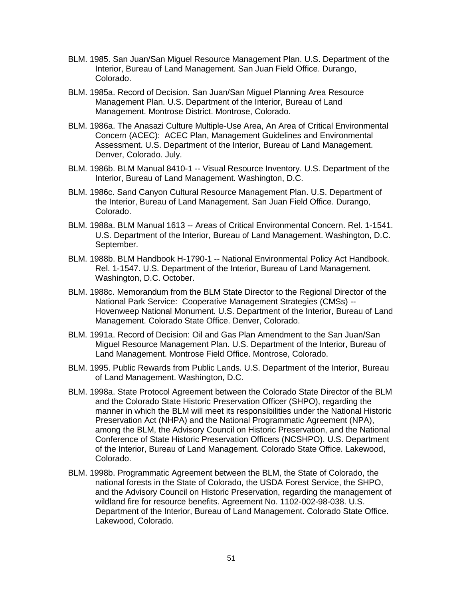- BLM. 1985. San Juan/San Miguel Resource Management Plan. U.S. Department of the Interior, Bureau of Land Management. San Juan Field Office. Durango, Colorado.
- BLM. 1985a. Record of Decision. San Juan/San Miguel Planning Area Resource Management Plan. U.S. Department of the Interior, Bureau of Land Management. Montrose District. Montrose, Colorado.
- BLM. 1986a. The Anasazi Culture Multiple-Use Area, An Area of Critical Environmental Concern (ACEC): ACEC Plan, Management Guidelines and Environmental Assessment. U.S. Department of the Interior, Bureau of Land Management. Denver, Colorado. July.
- BLM. 1986b. BLM Manual 8410-1 -- Visual Resource Inventory. U.S. Department of the Interior, Bureau of Land Management. Washington, D.C.
- BLM. 1986c. Sand Canyon Cultural Resource Management Plan. U.S. Department of the Interior, Bureau of Land Management. San Juan Field Office. Durango, Colorado.
- BLM. 1988a. BLM Manual 1613 -- Areas of Critical Environmental Concern. Rel. 1-1541. U.S. Department of the Interior, Bureau of Land Management. Washington, D.C. September.
- BLM. 1988b. BLM Handbook H-1790-1 -- National Environmental Policy Act Handbook. Rel. 1-1547. U.S. Department of the Interior, Bureau of Land Management. Washington, D.C. October.
- BLM. 1988c. Memorandum from the BLM State Director to the Regional Director of the National Park Service: Cooperative Management Strategies (CMSs) -- Hovenweep National Monument. U.S. Department of the Interior, Bureau of Land Management. Colorado State Office. Denver, Colorado.
- BLM. 1991a. Record of Decision: Oil and Gas Plan Amendment to the San Juan/San Miguel Resource Management Plan. U.S. Department of the Interior, Bureau of Land Management. Montrose Field Office. Montrose, Colorado.
- BLM. 1995. Public Rewards from Public Lands. U.S. Department of the Interior, Bureau of Land Management. Washington, D.C.
- BLM. 1998a. State Protocol Agreement between the Colorado State Director of the BLM and the Colorado State Historic Preservation Officer (SHPO), regarding the manner in which the BLM will meet its responsibilities under the National Historic Preservation Act (NHPA) and the National Programmatic Agreement (NPA), among the BLM, the Advisory Council on Historic Preservation, and the National Conference of State Historic Preservation Officers (NCSHPO). U.S. Department of the Interior, Bureau of Land Management. Colorado State Office. Lakewood, Colorado.
- BLM. 1998b. Programmatic Agreement between the BLM, the State of Colorado, the national forests in the State of Colorado, the USDA Forest Service, the SHPO, and the Advisory Council on Historic Preservation, regarding the management of wildland fire for resource benefits. Agreement No. 1102-002-98-038. U.S. Department of the Interior, Bureau of Land Management. Colorado State Office. Lakewood, Colorado.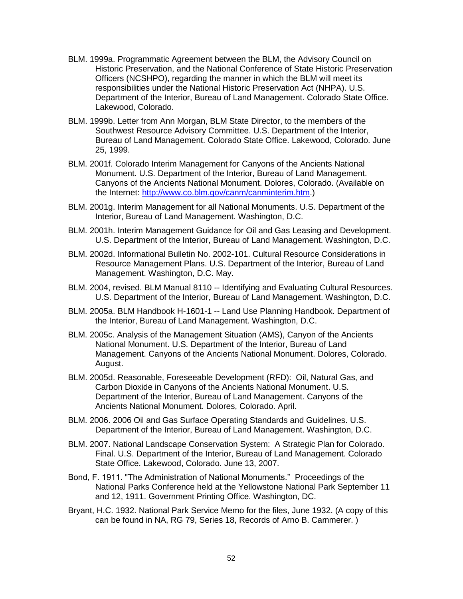- BLM. 1999a. Programmatic Agreement between the BLM, the Advisory Council on Historic Preservation, and the National Conference of State Historic Preservation Officers (NCSHPO), regarding the manner in which the BLM will meet its responsibilities under the National Historic Preservation Act (NHPA). U.S. Department of the Interior, Bureau of Land Management. Colorado State Office. Lakewood, Colorado.
- BLM. 1999b. Letter from Ann Morgan, BLM State Director, to the members of the Southwest Resource Advisory Committee. U.S. Department of the Interior, Bureau of Land Management. Colorado State Office. Lakewood, Colorado. June 25, 1999.
- BLM. 2001f. Colorado Interim Management for Canyons of the Ancients National Monument. U.S. Department of the Interior, Bureau of Land Management. Canyons of the Ancients National Monument. Dolores, Colorado. (Available on the Internet: [http://www.co.blm.gov/canm/canminterim.htm.](http://www.co.blm.gov/canm/canminterim.htm))
- BLM. 2001g. Interim Management for all National Monuments. U.S. Department of the Interior, Bureau of Land Management. Washington, D.C.
- BLM. 2001h. Interim Management Guidance for Oil and Gas Leasing and Development. U.S. Department of the Interior, Bureau of Land Management. Washington, D.C.
- BLM. 2002d. Informational Bulletin No. 2002-101. Cultural Resource Considerations in Resource Management Plans. U.S. Department of the Interior, Bureau of Land Management. Washington, D.C. May.
- BLM. 2004, revised. BLM Manual 8110 -- Identifying and Evaluating Cultural Resources. U.S. Department of the Interior, Bureau of Land Management. Washington, D.C.
- BLM. 2005a. BLM Handbook H-1601-1 -- Land Use Planning Handbook. Department of the Interior, Bureau of Land Management. Washington, D.C.
- BLM. 2005c. Analysis of the Management Situation (AMS), Canyon of the Ancients National Monument. U.S. Department of the Interior, Bureau of Land Management. Canyons of the Ancients National Monument. Dolores, Colorado. August.
- BLM. 2005d. Reasonable, Foreseeable Development (RFD): Oil, Natural Gas, and Carbon Dioxide in Canyons of the Ancients National Monument. U.S. Department of the Interior, Bureau of Land Management. Canyons of the Ancients National Monument. Dolores, Colorado. April.
- BLM. 2006. 2006 Oil and Gas Surface Operating Standards and Guidelines. U.S. Department of the Interior, Bureau of Land Management. Washington, D.C.
- BLM. 2007. National Landscape Conservation System: A Strategic Plan for Colorado. Final. U.S. Department of the Interior, Bureau of Land Management. Colorado State Office. Lakewood, Colorado. June 13, 2007.
- Bond, F. 1911. "The Administration of National Monuments.‖ Proceedings of the National Parks Conference held at the Yellowstone National Park September 11 and 12, 1911. Government Printing Office. Washington, DC.
- Bryant, H.C. 1932. National Park Service Memo for the files, June 1932. (A copy of this can be found in NA, RG 79, Series 18, Records of Arno B. Cammerer. )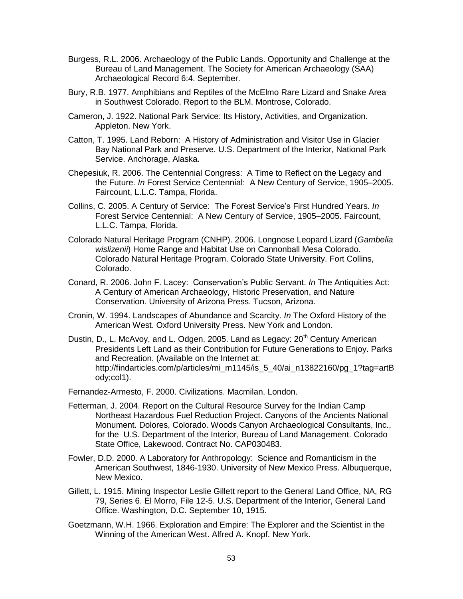- Burgess, R.L. 2006. Archaeology of the Public Lands. Opportunity and Challenge at the Bureau of Land Management. The Society for American Archaeology (SAA) Archaeological Record 6:4. September.
- Bury, R.B. 1977. Amphibians and Reptiles of the McElmo Rare Lizard and Snake Area in Southwest Colorado. Report to the BLM. Montrose, Colorado.
- Cameron, J. 1922. National Park Service: Its History, Activities, and Organization. Appleton. New York.
- Catton, T. 1995. Land Reborn: A History of Administration and Visitor Use in Glacier Bay National Park and Preserve. U.S. Department of the Interior, National Park Service. Anchorage, Alaska.
- Chepesiuk, R. 2006. The Centennial Congress: A Time to Reflect on the Legacy and the Future. *In* Forest Service Centennial: A New Century of Service, 1905–2005. Faircount, L.L.C. Tampa, Florida.
- Collins, C. 2005. A Century of Service: The Forest Service's First Hundred Years. *In* Forest Service Centennial: A New Century of Service, 1905–2005. Faircount, L.L.C. Tampa, Florida.
- Colorado Natural Heritage Program (CNHP). 2006. Longnose Leopard Lizard (*Gambelia wislizenii*) Home Range and Habitat Use on Cannonball Mesa Colorado. Colorado Natural Heritage Program. Colorado State University. Fort Collins, Colorado.
- Conard, R. 2006. John F. Lacey: Conservation's Public Servant. *In* The Antiquities Act: A Century of American Archaeology, Historic Preservation, and Nature Conservation. University of Arizona Press. Tucson, Arizona.
- Cronin, W. 1994. Landscapes of Abundance and Scarcity. *In* The Oxford History of the American West. Oxford University Press. New York and London.
- Dustin, D., L. McAvoy, and L. Odgen. 2005. Land as Legacy: 20<sup>th</sup> Century American Presidents Left Land as their Contribution for Future Generations to Enjoy. Parks and Recreation. (Available on the Internet at: http://findarticles.com/p/articles/mi\_m1145/is\_5\_40/ai\_n13822160/pg\_1?tag=artB ody;col1).
- Fernandez-Armesto, F. 2000. Civilizations. Macmilan. London.
- Fetterman, J. 2004. Report on the Cultural Resource Survey for the Indian Camp Northeast Hazardous Fuel Reduction Project. Canyons of the Ancients National Monument. Dolores, Colorado. Woods Canyon Archaeological Consultants, Inc., for the U.S. Department of the Interior, Bureau of Land Management. Colorado State Office, Lakewood. Contract No. CAP030483.
- Fowler, D.D. 2000. A Laboratory for Anthropology: Science and Romanticism in the American Southwest, 1846-1930. University of New Mexico Press. Albuquerque, New Mexico.
- Gillett, L. 1915. Mining Inspector Leslie Gillett report to the General Land Office, NA, RG 79, Series 6. El Morro, File 12-5. U.S. Department of the Interior, General Land Office. Washington, D.C. September 10, 1915.
- Goetzmann, W.H. 1966. Exploration and Empire: The Explorer and the Scientist in the Winning of the American West. Alfred A. Knopf. New York.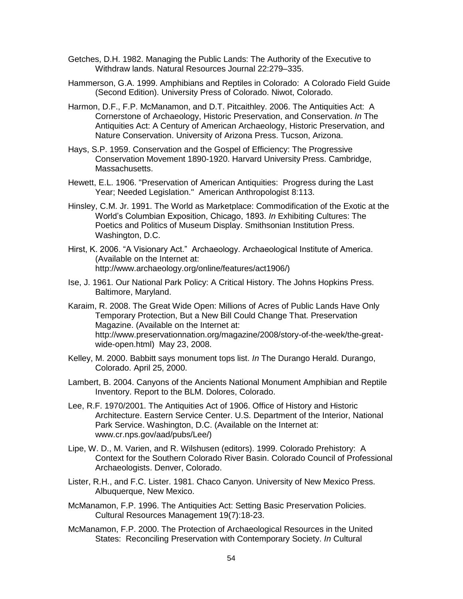- Getches, D.H. 1982. Managing the Public Lands: The Authority of the Executive to Withdraw lands. Natural Resources Journal 22:279–335.
- Hammerson, G.A. 1999. Amphibians and Reptiles in Colorado: A Colorado Field Guide (Second Edition). University Press of Colorado. Niwot, Colorado.
- Harmon, D.F., F.P. McManamon, and D.T. Pitcaithley. 2006. The Antiquities Act: A Cornerstone of Archaeology, Historic Preservation, and Conservation. *In* The Antiquities Act: A Century of American Archaeology, Historic Preservation, and Nature Conservation. University of Arizona Press. Tucson, Arizona.
- Hays, S.P. 1959. Conservation and the Gospel of Efficiency: The Progressive Conservation Movement 1890-1920. Harvard University Press. Cambridge, Massachusetts.
- Hewett, E.L. 1906. "Preservation of American Antiquities: Progress during the Last Year; Needed Legislation." American Anthropologist 8:113.
- Hinsley, C.M. Jr. 1991. The World as Marketplace: Commodification of the Exotic at the World's Columbian Exposition, Chicago, 1893. *In* Exhibiting Cultures: The Poetics and Politics of Museum Display. Smithsonian Institution Press. Washington, D.C.
- Hirst, K. 2006. "A Visionary Act." Archaeology. Archaeological Institute of America. (Available on the Internet at: http://www.archaeology.org/online/features/act1906/)
- Ise, J. 1961. Our National Park Policy: A Critical History. The Johns Hopkins Press. Baltimore, Maryland.
- Karaim, R. 2008. The Great Wide Open: Millions of Acres of Public Lands Have Only Temporary Protection, But a New Bill Could Change That. Preservation Magazine. (Available on the Internet at: http://www.preservationnation.org/magazine/2008/story-of-the-week/the-greatwide-open.html) May 23, 2008.
- Kelley, M. 2000. Babbitt says monument tops list. *In* The Durango Herald. Durango, Colorado. April 25, 2000.
- Lambert, B. 2004. Canyons of the Ancients National Monument Amphibian and Reptile Inventory. Report to the BLM. Dolores, Colorado.
- Lee, R.F. 1970/2001. The Antiquities Act of 1906. Office of History and Historic Architecture. Eastern Service Center. U.S. Department of the Interior, National Park Service. Washington, D.C. (Available on the Internet at: www.cr.nps.gov/aad/pubs/Lee/)
- Lipe, W. D., M. Varien, and R. Wilshusen (editors). 1999. Colorado Prehistory: A Context for the Southern Colorado River Basin. Colorado Council of Professional Archaeologists. Denver, Colorado.
- Lister, R.H., and F.C. Lister. 1981. Chaco Canyon. University of New Mexico Press. Albuquerque, New Mexico.
- McManamon, F.P. 1996. The Antiquities Act: Setting Basic Preservation Policies. Cultural Resources Management 19(7):18-23.
- McManamon, F.P. 2000. The Protection of Archaeological Resources in the United States: Reconciling Preservation with Contemporary Society. *In* Cultural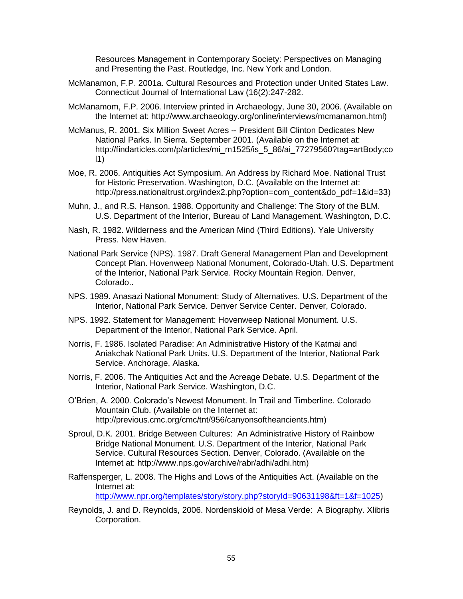Resources Management in Contemporary Society: Perspectives on Managing and Presenting the Past. Routledge, Inc. New York and London.

- McManamon, F.P. 2001a. Cultural Resources and Protection under United States Law. Connecticut Journal of International Law (16(2):247-282.
- McManamom, F.P. 2006. Interview printed in Archaeology, June 30, 2006. (Available on the Internet at: http://www.archaeology.org/online/interviews/mcmanamon.html)
- McManus, R. 2001. Six Million Sweet Acres -- President Bill Clinton Dedicates New National Parks. In Sierra. September 2001. (Available on the Internet at: http://findarticles.com/p/articles/mi\_m1525/is\_5\_86/ai\_77279560?tag=artBody;co l1)
- Moe, R. 2006. Antiquities Act Symposium. An Address by Richard Moe. National Trust for Historic Preservation. Washington, D.C. (Available on the Internet at: http://press.nationaltrust.org/index2.php?option=com\_content&do\_pdf=1&id=33)
- Muhn, J., and R.S. Hanson. 1988. Opportunity and Challenge: The Story of the BLM. U.S. Department of the Interior, Bureau of Land Management. Washington, D.C.
- Nash, R. 1982. Wilderness and the American Mind (Third Editions). Yale University Press. New Haven.
- National Park Service (NPS). 1987. Draft General Management Plan and Development Concept Plan. Hovenweep National Monument, Colorado-Utah. U.S. Department of the Interior, National Park Service. Rocky Mountain Region. Denver, Colorado..
- NPS. 1989. Anasazi National Monument: Study of Alternatives. U.S. Department of the Interior, National Park Service. Denver Service Center. Denver, Colorado.
- NPS. 1992. Statement for Management: Hovenweep National Monument. U.S. Department of the Interior, National Park Service. April.
- Norris, F. 1986. Isolated Paradise: An Administrative History of the Katmai and Aniakchak National Park Units. U.S. Department of the Interior, National Park Service. Anchorage, Alaska.
- Norris, F. 2006. The Antiquities Act and the Acreage Debate. U.S. Department of the Interior, National Park Service. Washington, D.C.
- O'Brien, A. 2000. Colorado's Newest Monument. In Trail and Timberline. Colorado Mountain Club. (Available on the Internet at: http://previous.cmc.org/cmc/tnt/956/canyonsoftheancients.htm)
- Sproul, D.K. 2001. Bridge Between Cultures: An Administrative History of Rainbow Bridge National Monument. U.S. Department of the Interior, National Park Service. Cultural Resources Section. Denver, Colorado. (Available on the Internet at: http://www.nps.gov/archive/rabr/adhi/adhi.htm)
- Raffensperger, L. 2008. The Highs and Lows of the Antiquities Act. (Available on the Internet at: [http://www.npr.org/templates/story/story.php?storyId=90631198&ft=1&f=1025\)](http://www.npr.org/templates/story/story.php?storyId=90631198&ft=1&f=1025)
- Reynolds, J. and D. Reynolds, 2006. Nordenskiold of Mesa Verde: A Biography. Xlibris Corporation.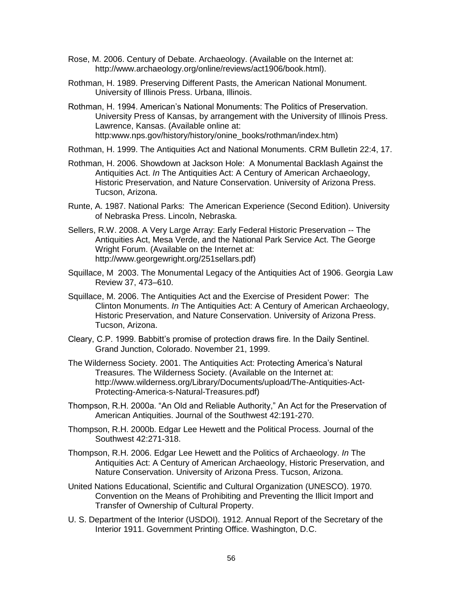- Rose, M. 2006. Century of Debate. Archaeology. (Available on the Internet at: http://www.archaeology.org/online/reviews/act1906/book.html).
- Rothman, H. 1989. Preserving Different Pasts, the American National Monument. University of Illinois Press. Urbana, Illinois.
- Rothman, H. 1994. American's National Monuments: The Politics of Preservation. University Press of Kansas, by arrangement with the University of Illinois Press. Lawrence, Kansas. (Available online at: http:www.nps.gov/history/history/onine\_books/rothman/index.htm)
- Rothman, H. 1999. The Antiquities Act and National Monuments. CRM Bulletin 22:4, 17.
- Rothman, H. 2006. Showdown at Jackson Hole: A Monumental Backlash Against the Antiquities Act. *In* The Antiquities Act: A Century of American Archaeology, Historic Preservation, and Nature Conservation. University of Arizona Press. Tucson, Arizona.
- Runte, A. 1987. National Parks: The American Experience (Second Edition). University of Nebraska Press. Lincoln, Nebraska.
- Sellers, R.W. 2008. A Very Large Array: Early Federal Historic Preservation -- The Antiquities Act, Mesa Verde, and the National Park Service Act. The George Wright Forum. (Available on the Internet at: http://www.georgewright.org/251sellars.pdf)
- Squillace, M 2003. The Monumental Legacy of the Antiquities Act of 1906. Georgia Law Review 37, 473–610.
- Squillace, M. 2006. The Antiquities Act and the Exercise of President Power: The Clinton Monuments. *In* The Antiquities Act: A Century of American Archaeology, Historic Preservation, and Nature Conservation. University of Arizona Press. Tucson, Arizona.
- Cleary, C.P. 1999. Babbitt's promise of protection draws fire. In the Daily Sentinel. Grand Junction, Colorado. November 21, 1999.
- The Wilderness Society. 2001. The Antiquities Act: Protecting America's Natural Treasures. The Wilderness Society. (Available on the Internet at: http://www.wilderness.org/Library/Documents/upload/The-Antiquities-Act-Protecting-America-s-Natural-Treasures.pdf)
- Thompson, R.H. 2000a. "An Old and Reliable Authority," An Act for the Preservation of American Antiquities. Journal of the Southwest 42:191-270.
- Thompson, R.H. 2000b. Edgar Lee Hewett and the Political Process. Journal of the Southwest 42:271-318.
- Thompson, R.H. 2006. Edgar Lee Hewett and the Politics of Archaeology. *In* The Antiquities Act: A Century of American Archaeology, Historic Preservation, and Nature Conservation. University of Arizona Press. Tucson, Arizona.
- United Nations Educational, Scientific and Cultural Organization (UNESCO). 1970. Convention on the Means of Prohibiting and Preventing the Illicit Import and Transfer of Ownership of Cultural Property.
- U. S. Department of the Interior (USDOI). 1912. Annual Report of the Secretary of the Interior 1911. Government Printing Office. Washington, D.C.